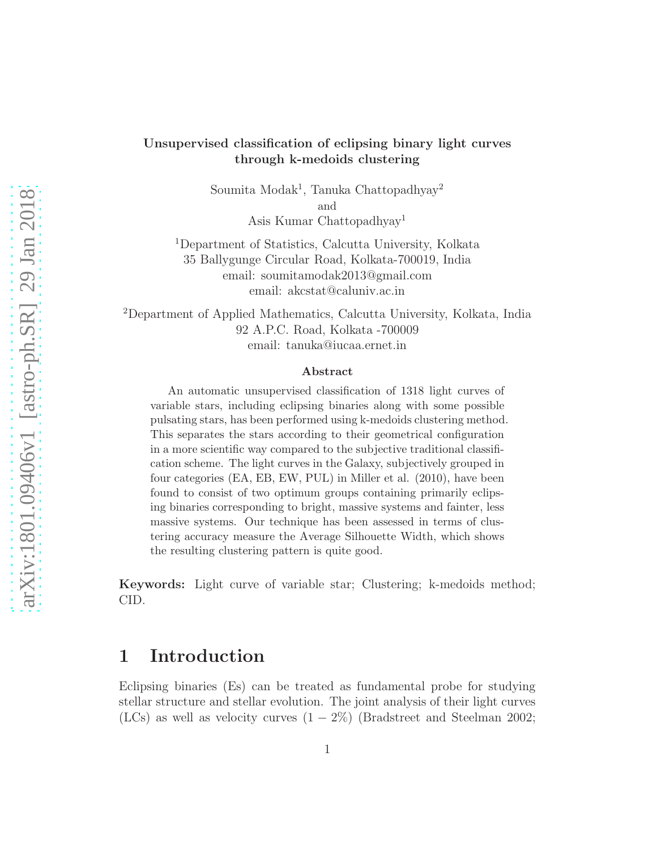#### Unsupervised classification of eclipsing binary light curves through k-medoids clustering

Soumita Modak<sup>1</sup>, Tanuka Chattopadhyay<sup>2</sup> and Asis Kumar Chattopadhyay<sup>1</sup>

<sup>1</sup>Department of Statistics, Calcutta University, Kolkata 35 Ballygunge Circular Road, Kolkata-700019, India email: soumitamodak2013@gmail.com email: akcstat@caluniv.ac.in

<sup>2</sup>Department of Applied Mathematics, Calcutta University, Kolkata, India 92 A.P.C. Road, Kolkata -700009 email: tanuka@iucaa.ernet.in

#### Abstract

An automatic unsupervised classification of 1318 light curves of variable stars, including eclipsing binaries along with some possible pulsating stars, has been performed using k-medoids clustering method. This separates the stars according to their geometrical configuration in a more scientific way compared to the subjective traditional classification scheme. The light curves in the Galaxy, subjectively grouped in four categories (EA, EB, EW, PUL) in Miller et al. (2010), have been found to consist of two optimum groups containing primarily eclipsing binaries corresponding to bright, massive systems and fainter, less massive systems. Our technique has been assessed in terms of clustering accuracy measure the Average Silhouette Width, which shows the resulting clustering pattern is quite good.

Keywords: Light curve of variable star; Clustering; k-medoids method; CID.

## 1 Introduction

Eclipsing binaries (Es) can be treated as fundamental probe for studying stellar structure and stellar evolution. The joint analysis of their light curves (LCs) as well as velocity curves  $(1 - 2\%)$  (Bradstreet and Steelman 2002;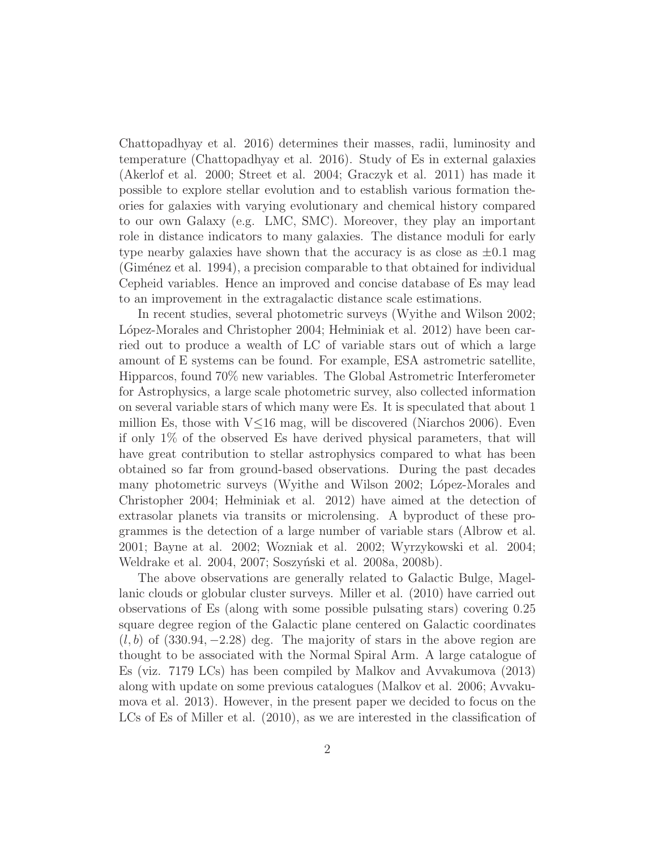Chattopadhyay et al. 2016) determines their masses, radii, luminosity and temperature (Chattopadhyay et al. 2016). Study of Es in external galaxies (Akerlof et al. 2000; Street et al. 2004; Graczyk et al. 2011) has made it possible to explore stellar evolution and to establish various formation theories for galaxies with varying evolutionary and chemical history compared to our own Galaxy (e.g. LMC, SMC). Moreover, they play an important role in distance indicators to many galaxies. The distance moduli for early type nearby galaxies have shown that the accuracy is as close as  $\pm 0.1$  mag (Giménez et al. 1994), a precision comparable to that obtained for individual Cepheid variables. Hence an improved and concise database of Es may lead to an improvement in the extragalactic distance scale estimations.

In recent studies, several photometric surveys (Wyithe and Wilson 2002; López-Morales and Christopher 2004; Helminiak et al. 2012) have been carried out to produce a wealth of LC of variable stars out of which a large amount of E systems can be found. For example, ESA astrometric satellite, Hipparcos, found 70% new variables. The Global Astrometric Interferometer for Astrophysics, a large scale photometric survey, also collected information on several variable stars of which many were Es. It is speculated that about 1 million Es, those with  $V\leq 16$  mag, will be discovered (Niarchos 2006). Even if only 1% of the observed Es have derived physical parameters, that will have great contribution to stellar astrophysics compared to what has been obtained so far from ground-based observations. During the past decades many photometric surveys (Wyithe and Wilson 2002; López-Morales and Christopher 2004; Helminiak et al. 2012) have aimed at the detection of extrasolar planets via transits or microlensing. A byproduct of these programmes is the detection of a large number of variable stars (Albrow et al. 2001; Bayne at al. 2002; Wozniak et al. 2002; Wyrzykowski et al. 2004; Weldrake et al. 2004, 2007; Soszyński et al. 2008a, 2008b).

The above observations are generally related to Galactic Bulge, Magellanic clouds or globular cluster surveys. Miller et al. (2010) have carried out observations of Es (along with some possible pulsating stars) covering 0.25 square degree region of the Galactic plane centered on Galactic coordinates  $(l, b)$  of (330.94, -2.28) deg. The majority of stars in the above region are thought to be associated with the Normal Spiral Arm. A large catalogue of Es (viz. 7179 LCs) has been compiled by Malkov and Avvakumova (2013) along with update on some previous catalogues (Malkov et al. 2006; Avvakumova et al. 2013). However, in the present paper we decided to focus on the LCs of Es of Miller et al. (2010), as we are interested in the classification of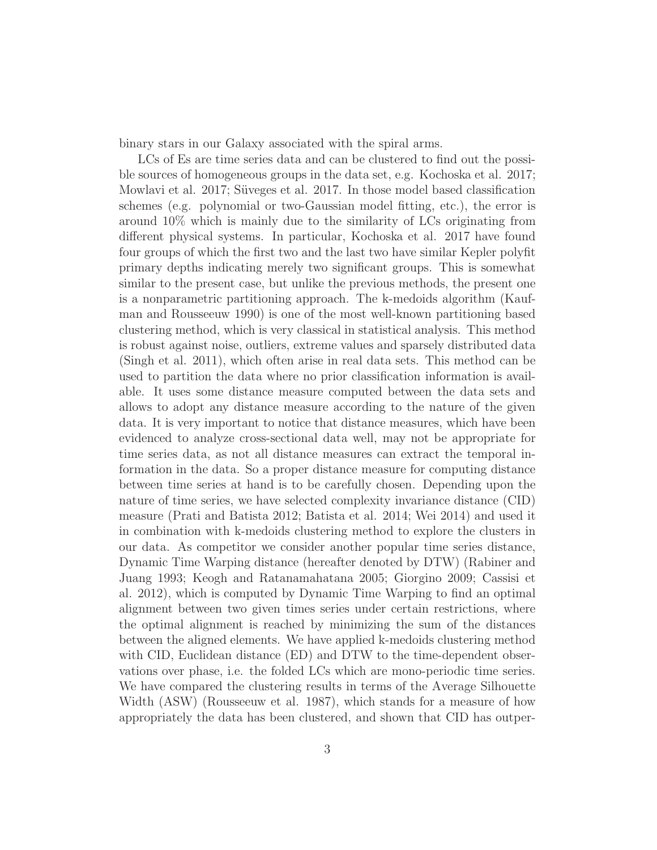binary stars in our Galaxy associated with the spiral arms.

LCs of Es are time series data and can be clustered to find out the possible sources of homogeneous groups in the data set, e.g. Kochoska et al. 2017; Mowlavi et al. 2017; Süveges et al. 2017. In those model based classification schemes (e.g. polynomial or two-Gaussian model fitting, etc.), the error is around 10% which is mainly due to the similarity of LCs originating from different physical systems. In particular, Kochoska et al. 2017 have found four groups of which the first two and the last two have similar Kepler polyfit primary depths indicating merely two significant groups. This is somewhat similar to the present case, but unlike the previous methods, the present one is a nonparametric partitioning approach. The k-medoids algorithm (Kaufman and Rousseeuw 1990) is one of the most well-known partitioning based clustering method, which is very classical in statistical analysis. This method is robust against noise, outliers, extreme values and sparsely distributed data (Singh et al. 2011), which often arise in real data sets. This method can be used to partition the data where no prior classification information is available. It uses some distance measure computed between the data sets and allows to adopt any distance measure according to the nature of the given data. It is very important to notice that distance measures, which have been evidenced to analyze cross-sectional data well, may not be appropriate for time series data, as not all distance measures can extract the temporal information in the data. So a proper distance measure for computing distance between time series at hand is to be carefully chosen. Depending upon the nature of time series, we have selected complexity invariance distance (CID) measure (Prati and Batista 2012; Batista et al. 2014; Wei 2014) and used it in combination with k-medoids clustering method to explore the clusters in our data. As competitor we consider another popular time series distance, Dynamic Time Warping distance (hereafter denoted by DTW) (Rabiner and Juang 1993; Keogh and Ratanamahatana 2005; Giorgino 2009; Cassisi et al. 2012), which is computed by Dynamic Time Warping to find an optimal alignment between two given times series under certain restrictions, where the optimal alignment is reached by minimizing the sum of the distances between the aligned elements. We have applied k-medoids clustering method with CID, Euclidean distance (ED) and DTW to the time-dependent observations over phase, i.e. the folded LCs which are mono-periodic time series. We have compared the clustering results in terms of the Average Silhouette Width (ASW) (Rousseeuw et al. 1987), which stands for a measure of how appropriately the data has been clustered, and shown that CID has outper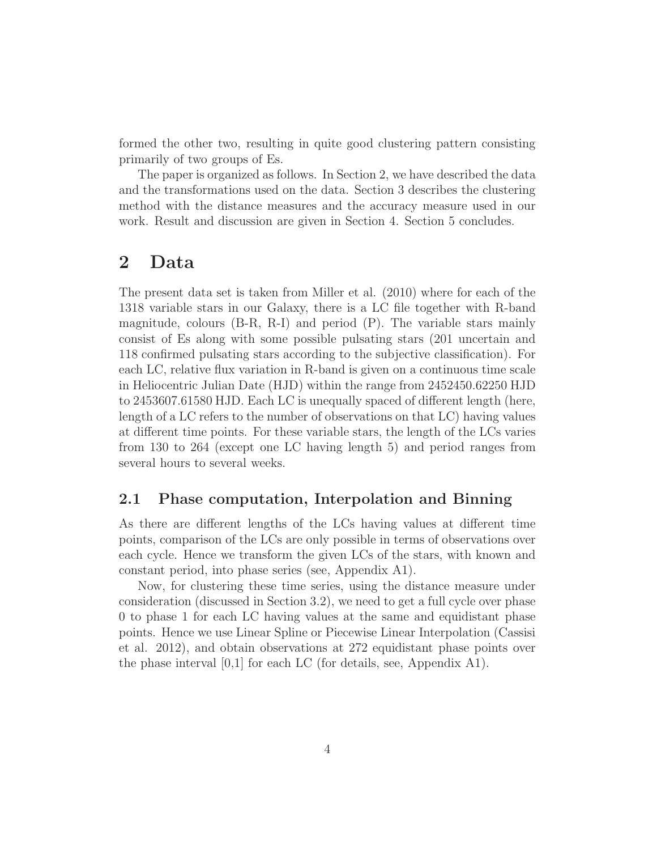formed the other two, resulting in quite good clustering pattern consisting primarily of two groups of Es.

The paper is organized as follows. In Section 2, we have described the data and the transformations used on the data. Section 3 describes the clustering method with the distance measures and the accuracy measure used in our work. Result and discussion are given in Section 4. Section 5 concludes.

## 2 Data

The present data set is taken from Miller et al. (2010) where for each of the 1318 variable stars in our Galaxy, there is a LC file together with R-band magnitude, colours  $(B-R, R-I)$  and period  $(P)$ . The variable stars mainly consist of Es along with some possible pulsating stars (201 uncertain and 118 confirmed pulsating stars according to the subjective classification). For each LC, relative flux variation in R-band is given on a continuous time scale in Heliocentric Julian Date (HJD) within the range from 2452450.62250 HJD to 2453607.61580 HJD. Each LC is unequally spaced of different length (here, length of a LC refers to the number of observations on that LC) having values at different time points. For these variable stars, the length of the LCs varies from 130 to 264 (except one LC having length 5) and period ranges from several hours to several weeks.

#### 2.1 Phase computation, Interpolation and Binning

As there are different lengths of the LCs having values at different time points, comparison of the LCs are only possible in terms of observations over each cycle. Hence we transform the given LCs of the stars, with known and constant period, into phase series (see, Appendix A1).

Now, for clustering these time series, using the distance measure under consideration (discussed in Section 3.2), we need to get a full cycle over phase 0 to phase 1 for each LC having values at the same and equidistant phase points. Hence we use Linear Spline or Piecewise Linear Interpolation (Cassisi et al. 2012), and obtain observations at 272 equidistant phase points over the phase interval [0,1] for each LC (for details, see, Appendix A1).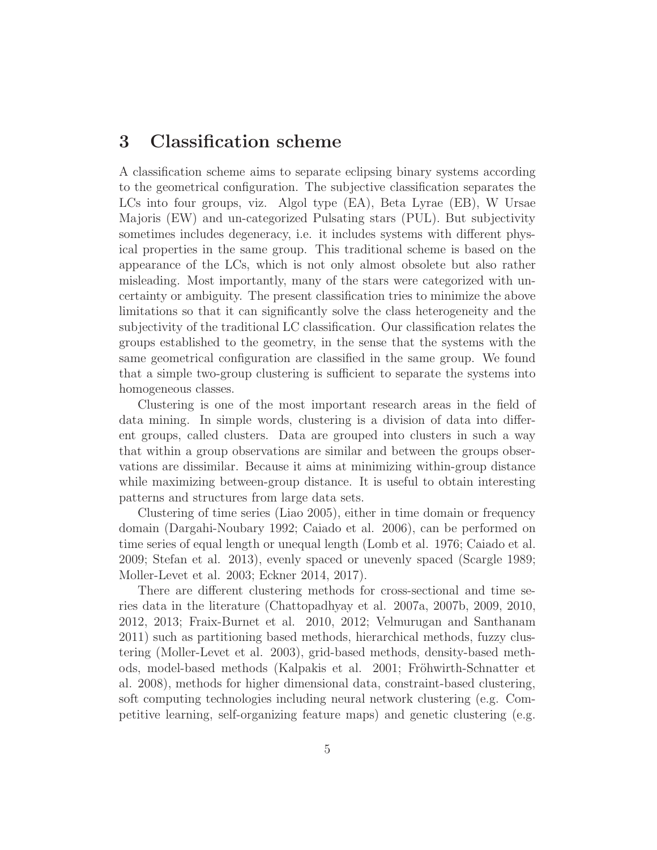### 3 Classification scheme

A classification scheme aims to separate eclipsing binary systems according to the geometrical configuration. The subjective classification separates the LCs into four groups, viz. Algol type (EA), Beta Lyrae (EB), W Ursae Majoris (EW) and un-categorized Pulsating stars (PUL). But subjectivity sometimes includes degeneracy, i.e. it includes systems with different physical properties in the same group. This traditional scheme is based on the appearance of the LCs, which is not only almost obsolete but also rather misleading. Most importantly, many of the stars were categorized with uncertainty or ambiguity. The present classification tries to minimize the above limitations so that it can significantly solve the class heterogeneity and the subjectivity of the traditional LC classification. Our classification relates the groups established to the geometry, in the sense that the systems with the same geometrical configuration are classified in the same group. We found that a simple two-group clustering is sufficient to separate the systems into homogeneous classes.

Clustering is one of the most important research areas in the field of data mining. In simple words, clustering is a division of data into different groups, called clusters. Data are grouped into clusters in such a way that within a group observations are similar and between the groups observations are dissimilar. Because it aims at minimizing within-group distance while maximizing between-group distance. It is useful to obtain interesting patterns and structures from large data sets.

Clustering of time series (Liao 2005), either in time domain or frequency domain (Dargahi-Noubary 1992; Caiado et al. 2006), can be performed on time series of equal length or unequal length (Lomb et al. 1976; Caiado et al. 2009; Stefan et al. 2013), evenly spaced or unevenly spaced (Scargle 1989; Moller-Levet et al. 2003; Eckner 2014, 2017).

There are different clustering methods for cross-sectional and time series data in the literature (Chattopadhyay et al. 2007a, 2007b, 2009, 2010, 2012, 2013; Fraix-Burnet et al. 2010, 2012; Velmurugan and Santhanam 2011) such as partitioning based methods, hierarchical methods, fuzzy clustering (Moller-Levet et al. 2003), grid-based methods, density-based methods, model-based methods (Kalpakis et al. 2001; Fröhwirth-Schnatter et al. 2008), methods for higher dimensional data, constraint-based clustering, soft computing technologies including neural network clustering (e.g. Competitive learning, self-organizing feature maps) and genetic clustering (e.g.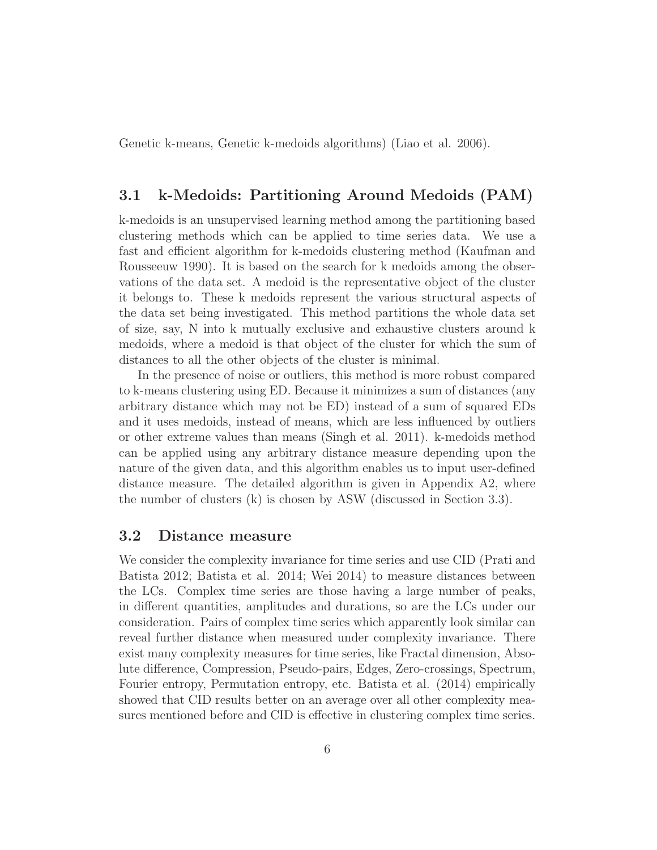Genetic k-means, Genetic k-medoids algorithms) (Liao et al. 2006).

### 3.1 k-Medoids: Partitioning Around Medoids (PAM)

k-medoids is an unsupervised learning method among the partitioning based clustering methods which can be applied to time series data. We use a fast and efficient algorithm for k-medoids clustering method (Kaufman and Rousseeuw 1990). It is based on the search for k medoids among the observations of the data set. A medoid is the representative object of the cluster it belongs to. These k medoids represent the various structural aspects of the data set being investigated. This method partitions the whole data set of size, say, N into k mutually exclusive and exhaustive clusters around k medoids, where a medoid is that object of the cluster for which the sum of distances to all the other objects of the cluster is minimal.

In the presence of noise or outliers, this method is more robust compared to k-means clustering using ED. Because it minimizes a sum of distances (any arbitrary distance which may not be ED) instead of a sum of squared EDs and it uses medoids, instead of means, which are less influenced by outliers or other extreme values than means (Singh et al. 2011). k-medoids method can be applied using any arbitrary distance measure depending upon the nature of the given data, and this algorithm enables us to input user-defined distance measure. The detailed algorithm is given in Appendix A2, where the number of clusters (k) is chosen by ASW (discussed in Section 3.3).

#### 3.2 Distance measure

We consider the complexity invariance for time series and use CID (Prati and Batista 2012; Batista et al. 2014; Wei 2014) to measure distances between the LCs. Complex time series are those having a large number of peaks, in different quantities, amplitudes and durations, so are the LCs under our consideration. Pairs of complex time series which apparently look similar can reveal further distance when measured under complexity invariance. There exist many complexity measures for time series, like Fractal dimension, Absolute difference, Compression, Pseudo-pairs, Edges, Zero-crossings, Spectrum, Fourier entropy, Permutation entropy, etc. Batista et al. (2014) empirically showed that CID results better on an average over all other complexity measures mentioned before and CID is effective in clustering complex time series.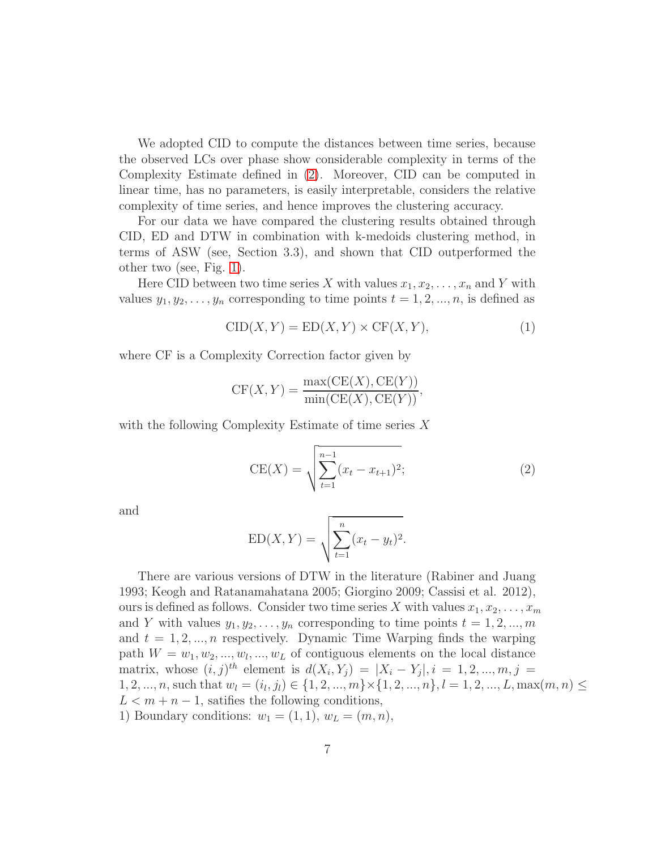We adopted CID to compute the distances between time series, because the observed LCs over phase show considerable complexity in terms of the Complexity Estimate defined in [\(2\)](#page-6-0). Moreover, CID can be computed in linear time, has no parameters, is easily interpretable, considers the relative complexity of time series, and hence improves the clustering accuracy.

For our data we have compared the clustering results obtained through CID, ED and DTW in combination with k-medoids clustering method, in terms of ASW (see, Section 3.3), and shown that CID outperformed the other two (see, Fig. [1\)](#page-21-0).

Here CID between two time series X with values  $x_1, x_2, \ldots, x_n$  and Y with values  $y_1, y_2, \ldots, y_n$  corresponding to time points  $t = 1, 2, \ldots, n$ , is defined as

$$
CID(X, Y) = ED(X, Y) \times CF(X, Y), \tag{1}
$$

where CF is a Complexity Correction factor given by

$$
CF(X, Y) = \frac{\max(CE(X), CE(Y))}{\min(CE(X), CE(Y))},
$$

with the following Complexity Estimate of time series  $X$ 

<span id="page-6-0"></span>
$$
CE(X) = \sqrt{\sum_{t=1}^{n-1} (x_t - x_{t+1})^2};
$$
\n(2)

and

$$
ED(X, Y) = \sqrt{\sum_{t=1}^{n} (x_t - y_t)^2}.
$$

There are various versions of DTW in the literature (Rabiner and Juang 1993; Keogh and Ratanamahatana 2005; Giorgino 2009; Cassisi et al. 2012), ours is defined as follows. Consider two time series X with values  $x_1, x_2, \ldots, x_m$ and Y with values  $y_1, y_2, \ldots, y_n$  corresponding to time points  $t = 1, 2, \ldots, m$ and  $t = 1, 2, ..., n$  respectively. Dynamic Time Warping finds the warping path  $W = w_1, w_2, ..., w_l, ..., w_L$  of contiguous elements on the local distance matrix, whose  $(i, j)^{th}$  element is  $d(X_i, Y_j) = |X_i - Y_j|, i = 1, 2, ..., m, j =$  $1, 2, ..., n$ , such that  $w_l = (i_l, j_l) \in \{1, 2, ..., m\} \times \{1, 2, ..., n\}, l = 1, 2, ..., L, \max(m, n) \leq$  $L < m + n - 1$ , satifies the following conditions, 1) Boundary conditions:  $w_1 = (1, 1), w_L = (m, n),$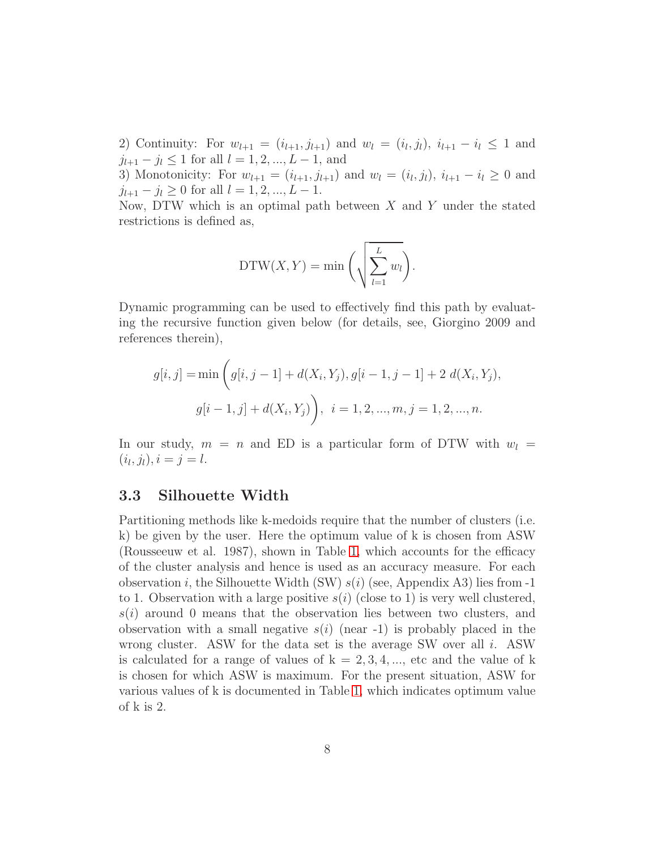2) Continuity: For  $w_{l+1} = (i_{l+1}, j_{l+1})$  and  $w_l = (i_l, j_l), i_{l+1} - i_l \leq 1$  and  $j_{l+1} - j_l \leq 1$  for all  $l = 1, 2, ..., L - 1$ , and

3) Monotonicity: For  $w_{l+1} = (i_{l+1}, j_{l+1})$  and  $w_l = (i_l, j_l), i_{l+1} - i_l \geq 0$  and  $j_{l+1} - j_l \geq 0$  for all  $l = 1, 2, ..., L - 1$ .

Now, DTW which is an optimal path between  $X$  and  $Y$  under the stated restrictions is defined as,

$$
\mathrm{DTW}(X,Y) = \min\bigg(\sqrt{\sum_{l=1}^{L} w_l}\bigg).
$$

Dynamic programming can be used to effectively find this path by evaluating the recursive function given below (for details, see, Giorgino 2009 and references therein),

$$
g[i, j] = \min\left(g[i, j - 1] + d(X_i, Y_j), g[i - 1, j - 1] + 2 d(X_i, Y_j),\right)
$$

$$
g[i - 1, j] + d(X_i, Y_j)\right), i = 1, 2, ..., m, j = 1, 2, ..., n.
$$

In our study,  $m = n$  and ED is a particular form of DTW with  $w_l =$  $(i_l, j_l), i = j = l.$ 

#### 3.3 Silhouette Width

Partitioning methods like k-medoids require that the number of clusters (i.e. k) be given by the user. Here the optimum value of k is chosen from ASW (Rousseeuw et al. 1987), shown in Table [1,](#page-17-0) which accounts for the efficacy of the cluster analysis and hence is used as an accuracy measure. For each observation i, the Silhouette Width (SW)  $s(i)$  (see, Appendix A3) lies from -1 to 1. Observation with a large positive  $s(i)$  (close to 1) is very well clustered,  $s(i)$  around 0 means that the observation lies between two clusters, and observation with a small negative  $s(i)$  (near -1) is probably placed in the wrong cluster. ASW for the data set is the average SW over all i. ASW is calculated for a range of values of  $k = 2, 3, 4, \dots$ , etc and the value of k is chosen for which ASW is maximum. For the present situation, ASW for various values of k is documented in Table [1,](#page-17-0) which indicates optimum value of k is 2.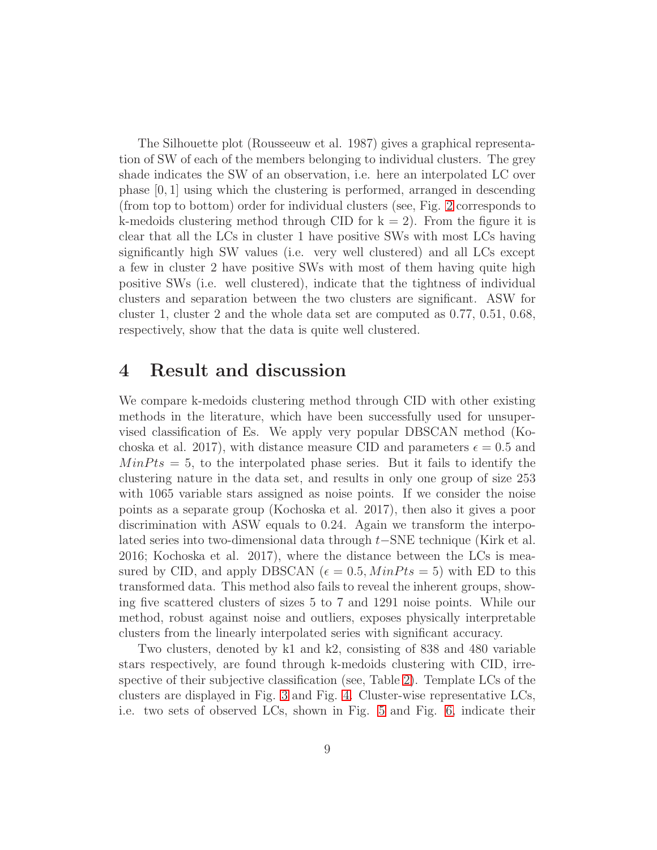The Silhouette plot (Rousseeuw et al. 1987) gives a graphical representation of SW of each of the members belonging to individual clusters. The grey shade indicates the SW of an observation, i.e. here an interpolated LC over phase [0, 1] using which the clustering is performed, arranged in descending (from top to bottom) order for individual clusters (see, Fig. [2](#page-22-0) corresponds to k-medoids clustering method through CID for  $k = 2$ ). From the figure it is clear that all the LCs in cluster 1 have positive SWs with most LCs having significantly high SW values (i.e. very well clustered) and all LCs except a few in cluster 2 have positive SWs with most of them having quite high positive SWs (i.e. well clustered), indicate that the tightness of individual clusters and separation between the two clusters are significant. ASW for cluster 1, cluster 2 and the whole data set are computed as 0.77, 0.51, 0.68, respectively, show that the data is quite well clustered.

## 4 Result and discussion

We compare k-medoids clustering method through CID with other existing methods in the literature, which have been successfully used for unsupervised classification of Es. We apply very popular DBSCAN method (Kochoska et al. 2017), with distance measure CID and parameters  $\epsilon = 0.5$  and  $MinPts = 5$ , to the interpolated phase series. But it fails to identify the clustering nature in the data set, and results in only one group of size 253 with 1065 variable stars assigned as noise points. If we consider the noise points as a separate group (Kochoska et al. 2017), then also it gives a poor discrimination with ASW equals to 0.24. Again we transform the interpolated series into two-dimensional data through t−SNE technique (Kirk et al. 2016; Kochoska et al. 2017), where the distance between the LCs is measured by CID, and apply DBSCAN ( $\epsilon = 0.5$ ,  $MinPts = 5$ ) with ED to this transformed data. This method also fails to reveal the inherent groups, showing five scattered clusters of sizes 5 to 7 and 1291 noise points. While our method, robust against noise and outliers, exposes physically interpretable clusters from the linearly interpolated series with significant accuracy.

Two clusters, denoted by k1 and k2, consisting of 838 and 480 variable stars respectively, are found through k-medoids clustering with CID, irrespective of their subjective classification (see, Table [2\)](#page-18-0). Template LCs of the clusters are displayed in Fig. [3](#page-23-0) and Fig. [4.](#page-24-0) Cluster-wise representative LCs, i.e. two sets of observed LCs, shown in Fig. [5](#page-25-0) and Fig. [6,](#page-26-0) indicate their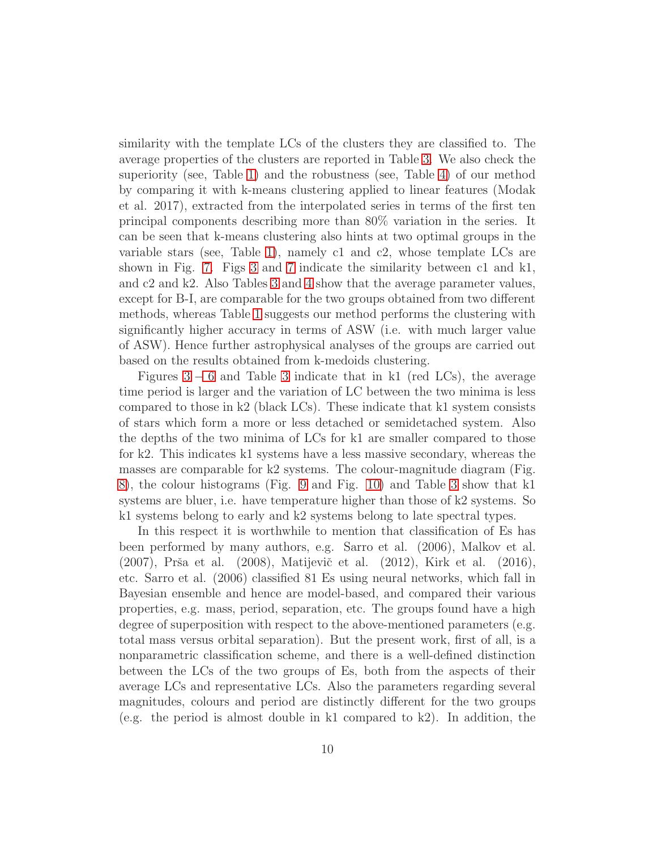similarity with the template LCs of the clusters they are classified to. The average properties of the clusters are reported in Table [3.](#page-19-0) We also check the superiority (see, Table [1\)](#page-17-0) and the robustness (see, Table [4\)](#page-20-0) of our method by comparing it with k-means clustering applied to linear features (Modak et al. 2017), extracted from the interpolated series in terms of the first ten principal components describing more than 80% variation in the series. It can be seen that k-means clustering also hints at two optimal groups in the variable stars (see, Table [1\)](#page-17-0), namely c1 and c2, whose template LCs are shown in Fig. [7.](#page-27-0) Figs [3](#page-23-0) and [7](#page-27-0) indicate the similarity between c1 and k1, and c2 and k2. Also Tables [3](#page-19-0) and [4](#page-20-0) show that the average parameter values, except for B-I, are comparable for the two groups obtained from two different methods, whereas Table [1](#page-17-0) suggests our method performs the clustering with significantly higher accuracy in terms of ASW (i.e. with much larger value of ASW). Hence further astrophysical analyses of the groups are carried out based on the results obtained from k-medoids clustering.

Figures  $3 - 6$  $3 - 6$  and Table [3](#page-19-0) indicate that in k1 (red LCs), the average time period is larger and the variation of LC between the two minima is less compared to those in k2 (black LCs). These indicate that k1 system consists of stars which form a more or less detached or semidetached system. Also the depths of the two minima of LCs for k1 are smaller compared to those for k2. This indicates k1 systems have a less massive secondary, whereas the masses are comparable for k2 systems. The colour-magnitude diagram (Fig. [8\)](#page-28-0), the colour histograms (Fig. [9](#page-29-0) and Fig. [10\)](#page-30-0) and Table [3](#page-19-0) show that k1 systems are bluer, i.e. have temperature higher than those of k2 systems. So k1 systems belong to early and k2 systems belong to late spectral types.

In this respect it is worthwhile to mention that classification of Es has been performed by many authors, e.g. Sarro et al. (2006), Malkov et al. (2007), Prša et al. (2008), Matijevič et al. (2012), Kirk et al. (2016), etc. Sarro et al. (2006) classified 81 Es using neural networks, which fall in Bayesian ensemble and hence are model-based, and compared their various properties, e.g. mass, period, separation, etc. The groups found have a high degree of superposition with respect to the above-mentioned parameters (e.g. total mass versus orbital separation). But the present work, first of all, is a nonparametric classification scheme, and there is a well-defined distinction between the LCs of the two groups of Es, both from the aspects of their average LCs and representative LCs. Also the parameters regarding several magnitudes, colours and period are distinctly different for the two groups (e.g. the period is almost double in k1 compared to k2). In addition, the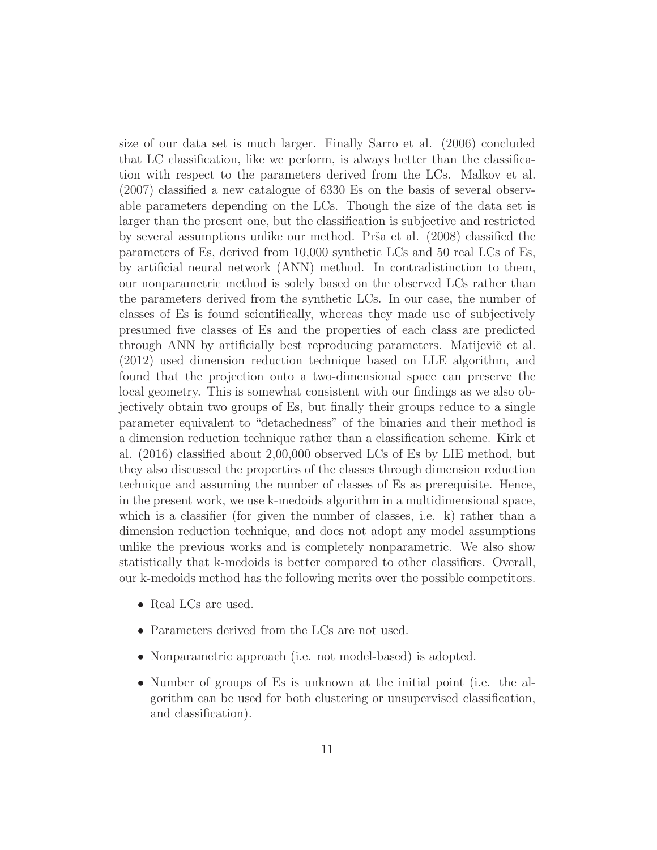size of our data set is much larger. Finally Sarro et al. (2006) concluded that LC classification, like we perform, is always better than the classification with respect to the parameters derived from the LCs. Malkov et al. (2007) classified a new catalogue of 6330 Es on the basis of several observable parameters depending on the LCs. Though the size of the data set is larger than the present one, but the classification is subjective and restricted by several assumptions unlike our method. Prša et al. (2008) classified the parameters of Es, derived from 10,000 synthetic LCs and 50 real LCs of Es, by artificial neural network (ANN) method. In contradistinction to them, our nonparametric method is solely based on the observed LCs rather than the parameters derived from the synthetic LCs. In our case, the number of classes of Es is found scientifically, whereas they made use of subjectively presumed five classes of Es and the properties of each class are predicted through ANN by artificially best reproducing parameters. Matijevič et al. (2012) used dimension reduction technique based on LLE algorithm, and found that the projection onto a two-dimensional space can preserve the local geometry. This is somewhat consistent with our findings as we also objectively obtain two groups of Es, but finally their groups reduce to a single parameter equivalent to "detachedness" of the binaries and their method is a dimension reduction technique rather than a classification scheme. Kirk et al. (2016) classified about 2,00,000 observed LCs of Es by LIE method, but they also discussed the properties of the classes through dimension reduction technique and assuming the number of classes of Es as prerequisite. Hence, in the present work, we use k-medoids algorithm in a multidimensional space, which is a classifier (for given the number of classes, i.e. k) rather than a dimension reduction technique, and does not adopt any model assumptions unlike the previous works and is completely nonparametric. We also show statistically that k-medoids is better compared to other classifiers. Overall, our k-medoids method has the following merits over the possible competitors.

- Real LCs are used.
- Parameters derived from the LCs are not used.
- Nonparametric approach (i.e. not model-based) is adopted.
- Number of groups of Es is unknown at the initial point (i.e. the algorithm can be used for both clustering or unsupervised classification, and classification).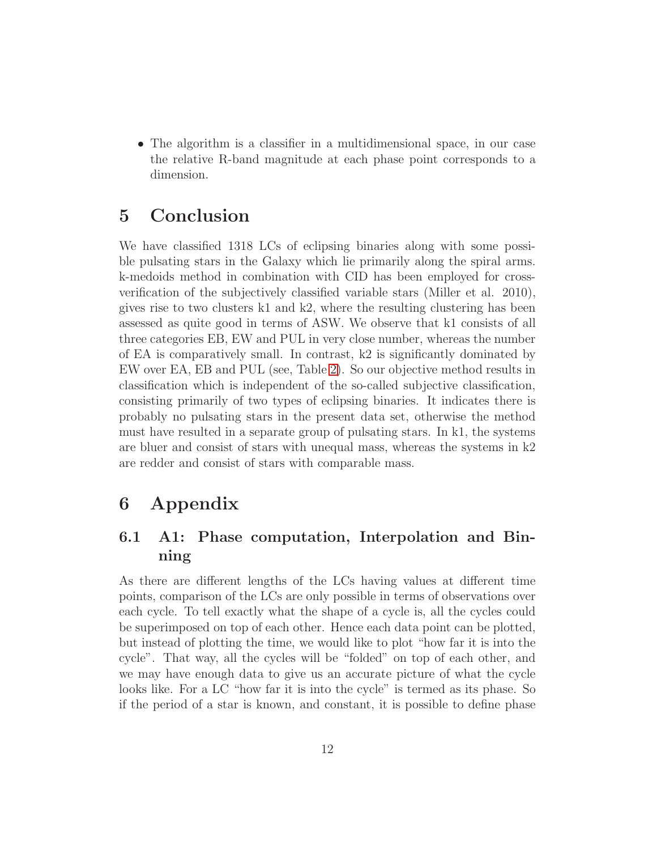• The algorithm is a classifier in a multidimensional space, in our case the relative R-band magnitude at each phase point corresponds to a dimension.

# 5 Conclusion

We have classified 1318 LCs of eclipsing binaries along with some possible pulsating stars in the Galaxy which lie primarily along the spiral arms. k-medoids method in combination with CID has been employed for crossverification of the subjectively classified variable stars (Miller et al. 2010), gives rise to two clusters k1 and k2, where the resulting clustering has been assessed as quite good in terms of ASW. We observe that k1 consists of all three categories EB, EW and PUL in very close number, whereas the number of EA is comparatively small. In contrast, k2 is significantly dominated by EW over EA, EB and PUL (see, Table [2\)](#page-18-0). So our objective method results in classification which is independent of the so-called subjective classification, consisting primarily of two types of eclipsing binaries. It indicates there is probably no pulsating stars in the present data set, otherwise the method must have resulted in a separate group of pulsating stars. In k1, the systems are bluer and consist of stars with unequal mass, whereas the systems in k2 are redder and consist of stars with comparable mass.

# 6 Appendix

### 6.1 A1: Phase computation, Interpolation and Binning

As there are different lengths of the LCs having values at different time points, comparison of the LCs are only possible in terms of observations over each cycle. To tell exactly what the shape of a cycle is, all the cycles could be superimposed on top of each other. Hence each data point can be plotted, but instead of plotting the time, we would like to plot "how far it is into the cycle". That way, all the cycles will be "folded" on top of each other, and we may have enough data to give us an accurate picture of what the cycle looks like. For a LC "how far it is into the cycle" is termed as its phase. So if the period of a star is known, and constant, it is possible to define phase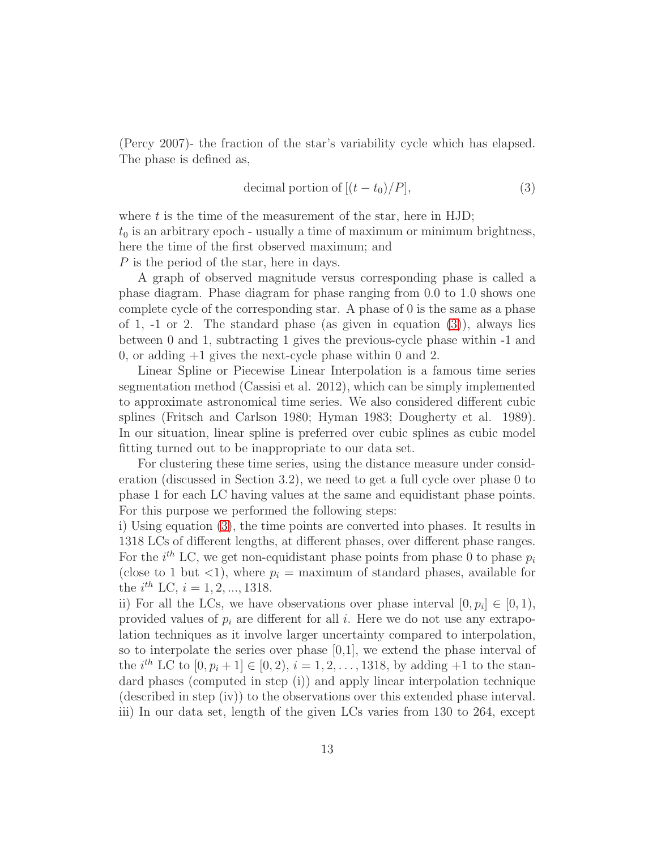(Percy 2007)- the fraction of the star's variability cycle which has elapsed. The phase is defined as,

<span id="page-12-0"></span>decimal portion of 
$$
[(t - t_0)/P]
$$
, (3)

where  $t$  is the time of the measurement of the star, here in HJD;  $t_0$  is an arbitrary epoch - usually a time of maximum or minimum brightness, here the time of the first observed maximum; and P is the period of the star, here in days.

A graph of observed magnitude versus corresponding phase is called a phase diagram. Phase diagram for phase ranging from 0.0 to 1.0 shows one complete cycle of the corresponding star. A phase of 0 is the same as a phase of 1,  $-1$  or 2. The standard phase (as given in equation  $(3)$ ), always lies between 0 and 1, subtracting 1 gives the previous-cycle phase within -1 and 0, or adding  $+1$  gives the next-cycle phase within 0 and 2.

Linear Spline or Piecewise Linear Interpolation is a famous time series segmentation method (Cassisi et al. 2012), which can be simply implemented to approximate astronomical time series. We also considered different cubic splines (Fritsch and Carlson 1980; Hyman 1983; Dougherty et al. 1989). In our situation, linear spline is preferred over cubic splines as cubic model fitting turned out to be inappropriate to our data set.

For clustering these time series, using the distance measure under consideration (discussed in Section 3.2), we need to get a full cycle over phase 0 to phase 1 for each LC having values at the same and equidistant phase points. For this purpose we performed the following steps:

i) Using equation [\(3\)](#page-12-0), the time points are converted into phases. It results in 1318 LCs of different lengths, at different phases, over different phase ranges. For the  $i^{th}$  LC, we get non-equidistant phase points from phase 0 to phase  $p_i$ (close to 1 but  $\langle 1 \rangle$ , where  $p_i = \text{maximum of standard phases}$ , available for the  $i^{th}$  LC,  $i = 1, 2, ..., 1318$ .

ii) For all the LCs, we have observations over phase interval  $[0, p_i] \in [0, 1)$ , provided values of  $p_i$  are different for all i. Here we do not use any extrapolation techniques as it involve larger uncertainty compared to interpolation, so to interpolate the series over phase [0,1], we extend the phase interval of the  $i^{th}$  LC to  $[0, p_i + 1] \in [0, 2), i = 1, 2, ..., 1318$ , by adding  $+1$  to the standard phases (computed in step (i)) and apply linear interpolation technique (described in step (iv)) to the observations over this extended phase interval. iii) In our data set, length of the given LCs varies from 130 to 264, except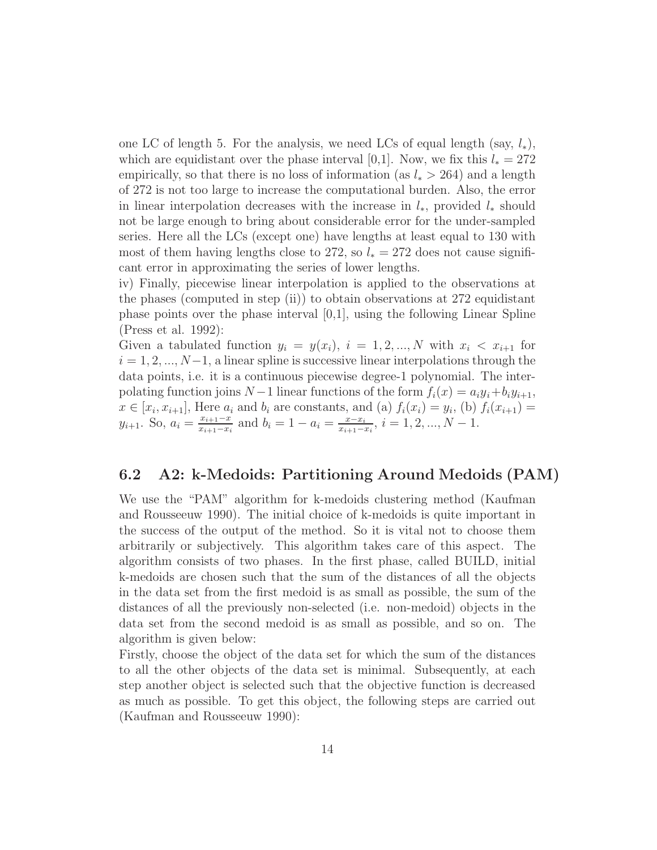one LC of length 5. For the analysis, we need LCs of equal length (say,  $l_*$ ), which are equidistant over the phase interval [0,1]. Now, we fix this  $l_* = 272$ empirically, so that there is no loss of information (as  $l_* > 264$ ) and a length of 272 is not too large to increase the computational burden. Also, the error in linear interpolation decreases with the increase in  $l_*$ , provided  $l_*$  should not be large enough to bring about considerable error for the under-sampled series. Here all the LCs (except one) have lengths at least equal to 130 with most of them having lengths close to 272, so  $l_* = 272$  does not cause significant error in approximating the series of lower lengths.

iv) Finally, piecewise linear interpolation is applied to the observations at the phases (computed in step (ii)) to obtain observations at  $272$  equidistant phase points over the phase interval [0,1], using the following Linear Spline (Press et al. 1992):

Given a tabulated function  $y_i = y(x_i)$ ,  $i = 1, 2, ..., N$  with  $x_i < x_{i+1}$  for  $i = 1, 2, ..., N-1$ , a linear spline is successive linear interpolations through the data points, i.e. it is a continuous piecewise degree-1 polynomial. The interpolating function joins  $N-1$  linear functions of the form  $f_i(x) = a_i y_i + b_i y_{i+1}$ ,  $x \in [x_i, x_{i+1}]$ , Here  $a_i$  and  $b_i$  are constants, and (a)  $f_i(x_i) = y_i$ , (b)  $f_i(x_{i+1}) =$  $y_{i+1}$ . So,  $a_i = \frac{x_{i+1}-x_i}{x_{i+1}-x_i}$  $\frac{x_{i+1}-x}{x_{i+1}-x_i}$  and  $b_i = 1 - a_i = \frac{x-x_i}{x_{i+1}-x_i}$  $\frac{x-x_i}{x_{i+1}-x_i}$ ,  $i=1,2,...,N-1$ .

### 6.2 A2: k-Medoids: Partitioning Around Medoids (PAM)

We use the "PAM" algorithm for k-medoids clustering method (Kaufman and Rousseeuw 1990). The initial choice of k-medoids is quite important in the success of the output of the method. So it is vital not to choose them arbitrarily or subjectively. This algorithm takes care of this aspect. The algorithm consists of two phases. In the first phase, called BUILD, initial k-medoids are chosen such that the sum of the distances of all the objects in the data set from the first medoid is as small as possible, the sum of the distances of all the previously non-selected (i.e. non-medoid) objects in the data set from the second medoid is as small as possible, and so on. The algorithm is given below:

Firstly, choose the object of the data set for which the sum of the distances to all the other objects of the data set is minimal. Subsequently, at each step another object is selected such that the objective function is decreased as much as possible. To get this object, the following steps are carried out (Kaufman and Rousseeuw 1990):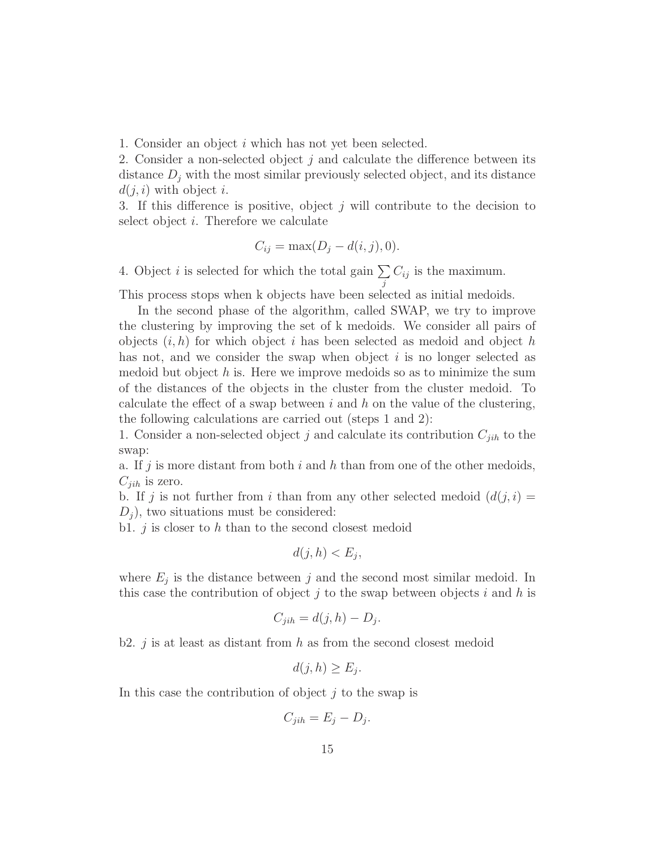1. Consider an object i which has not yet been selected.

2. Consider a non-selected object j and calculate the difference between its distance  $D_j$  with the most similar previously selected object, and its distance  $d(i, i)$  with object i.

3. If this difference is positive, object  $j$  will contribute to the decision to select object i. Therefore we calculate

$$
C_{ij} = \max(D_j - d(i, j), 0).
$$

j

4. Object i is selected for which the total gain  $\Sigma$  $C_{ij}$  is the maximum.

This process stops when k objects have been selected as initial medoids.

In the second phase of the algorithm, called SWAP, we try to improve the clustering by improving the set of k medoids. We consider all pairs of objects  $(i, h)$  for which object i has been selected as medoid and object h has not, and we consider the swap when object  $i$  is no longer selected as medoid but object  $h$  is. Here we improve medoids so as to minimize the sum of the distances of the objects in the cluster from the cluster medoid. To calculate the effect of a swap between  $i$  and  $h$  on the value of the clustering, the following calculations are carried out (steps 1 and 2):

1. Consider a non-selected object j and calculate its contribution  $C_{jih}$  to the swap:

a. If j is more distant from both i and h than from one of the other medoids,  $C_{jih}$  is zero.

b. If j is not further from i than from any other selected medoid  $(d(j, i) =$  $D_i$ , two situations must be considered:

b1.  $j$  is closer to  $h$  than to the second closest medoid

$$
d(j, h) < E_j
$$

where  $E_j$  is the distance between j and the second most similar medoid. In this case the contribution of object  $j$  to the swap between objects  $i$  and  $h$  is

$$
C_{jih} = d(j, h) - D_j.
$$

b2. j is at least as distant from h as from the second closest medoid

$$
d(j, h) \ge E_j.
$$

In this case the contribution of object  $j$  to the swap is

$$
C_{jih} = E_j - D_j.
$$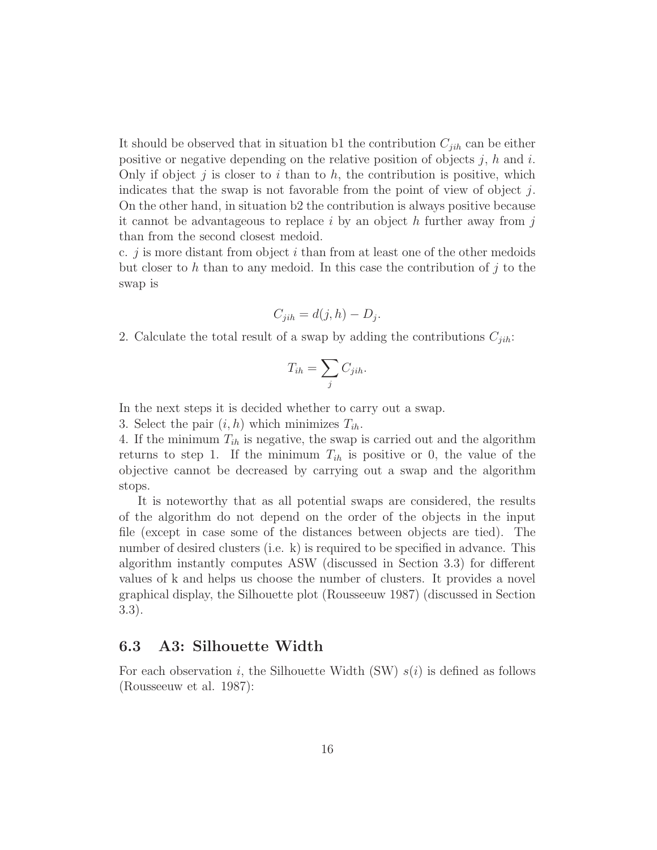It should be observed that in situation b1 the contribution  $C_{jih}$  can be either positive or negative depending on the relative position of objects j, h and i. Only if object j is closer to i than to  $h$ , the contribution is positive, which indicates that the swap is not favorable from the point of view of object  $j$ . On the other hand, in situation b2 the contribution is always positive because it cannot be advantageous to replace  $i$  by an object  $h$  further away from  $j$ than from the second closest medoid.

c. j is more distant from object i than from at least one of the other medoids but closer to h than to any medoid. In this case the contribution of j to the swap is

$$
C_{jih} = d(j, h) - D_j.
$$

2. Calculate the total result of a swap by adding the contributions  $C_{jih}$ :

$$
T_{ih} = \sum_{j} C_{jih}.
$$

In the next steps it is decided whether to carry out a swap.

3. Select the pair  $(i, h)$  which minimizes  $T_{ih}$ .

4. If the minimum  $T_{ih}$  is negative, the swap is carried out and the algorithm returns to step 1. If the minimum  $T_{ih}$  is positive or 0, the value of the objective cannot be decreased by carrying out a swap and the algorithm stops.

It is noteworthy that as all potential swaps are considered, the results of the algorithm do not depend on the order of the objects in the input file (except in case some of the distances between objects are tied). The number of desired clusters (i.e. k) is required to be specified in advance. This algorithm instantly computes ASW (discussed in Section 3.3) for different values of k and helps us choose the number of clusters. It provides a novel graphical display, the Silhouette plot (Rousseeuw 1987) (discussed in Section 3.3).

#### 6.3 A3: Silhouette Width

For each observation i, the Silhouette Width (SW)  $s(i)$  is defined as follows (Rousseeuw et al. 1987):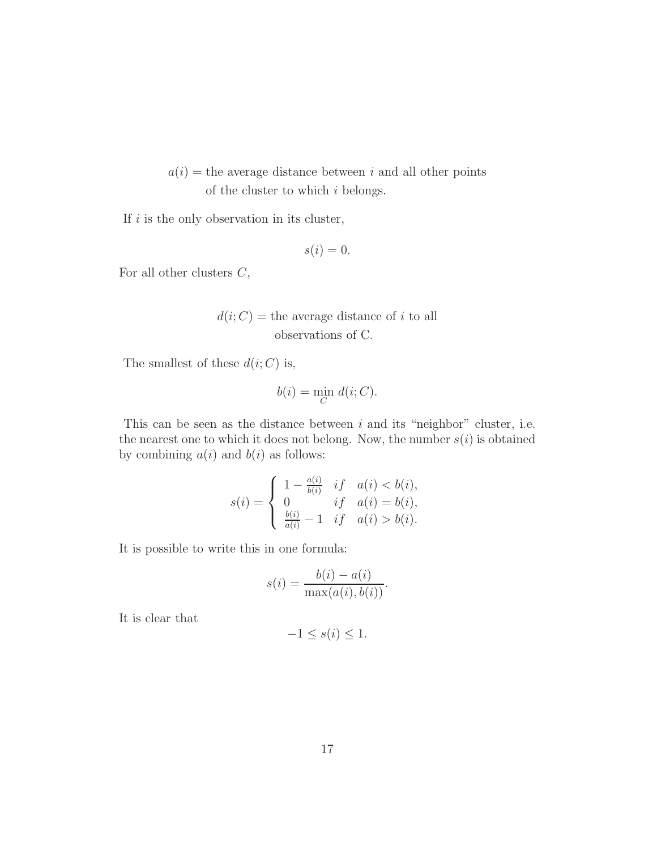### $a(i)$  = the average distance between i and all other points of the cluster to which  $i$  belongs.

If  $i$  is the only observation in its cluster,

$$
s(i) = 0.
$$

For all other clusters  $C$ ,

$$
d(i;C) =
$$
 the average distance of *i* to all observations of C.

The smallest of these  $d(i; C)$  is,

$$
b(i) = \min_C d(i; C).
$$

This can be seen as the distance between  $i$  and its "neighbor" cluster, i.e. the nearest one to which it does not belong. Now, the number  $s(i)$  is obtained by combining  $a(i)$  and  $b(i)$  as follows:

$$
s(i) = \begin{cases} 1 - \frac{a(i)}{b(i)} & if \quad a(i) < b(i), \\ 0 & if \quad a(i) = b(i), \\ \frac{b(i)}{a(i)} - 1 & if \quad a(i) > b(i). \end{cases}
$$

It is possible to write this in one formula:

$$
s(i) = \frac{b(i) - a(i)}{\max(a(i), b(i))}.
$$

It is clear that

$$
-1 \le s(i) \le 1.
$$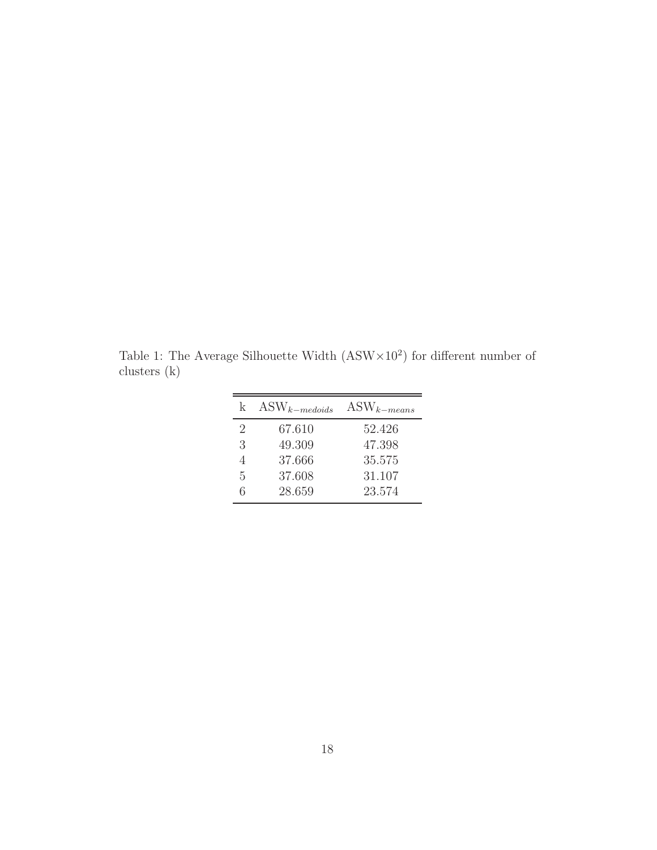<span id="page-17-0"></span>Table 1: The Average Silhouette Width  $(ASW \times 10^2)$  for different number of clusters (k)

| k.             | $\text{ASW}_{k-mediateded}$ | $\text{ASW}_{k-means}$ |
|----------------|-----------------------------|------------------------|
| $\overline{2}$ | 67.610                      | 52.426                 |
| 3              | 49.309                      | 47.398                 |
| $\overline{4}$ | 37.666                      | 35.575                 |
| 5              | 37.608                      | 31.107                 |
| 6              | 28.659                      | 23.574                 |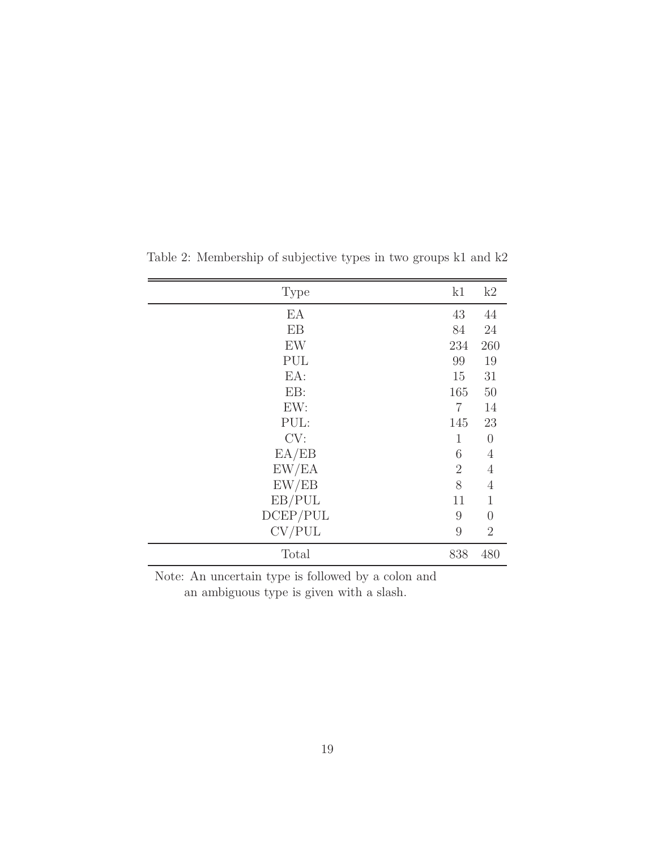<span id="page-18-0"></span>

| <b>Type</b> | k1             | k2             |
|-------------|----------------|----------------|
| EA          | 43             | 44             |
| EB          | 84             | 24             |
| EW          | 234            | 260            |
| PUL         | 99             | 19             |
| EA:         | 15             | 31             |
| EB:         | 165            | 50             |
| EW:         | $\overline{7}$ | 14             |
| PUL:        | 145            | 23             |
| CV:         | $\mathbf{1}$   | $\overline{0}$ |
| EA/EB       | 6              | $\overline{4}$ |
| EW/EA       | $\overline{2}$ | $\overline{4}$ |
| EW/EB       | 8              | $\overline{4}$ |
| EB/PUL      | 11             | $\mathbf 1$    |
| DCEP/PUL    | 9              | $\overline{0}$ |
| CV/PUL      | 9              | $\overline{2}$ |
| Total       | 838            | 480            |

Table 2: Membership of subjective types in two groups k1 and k2

Note: An uncertain type is followed by a colon and

an ambiguous type is given with a slash.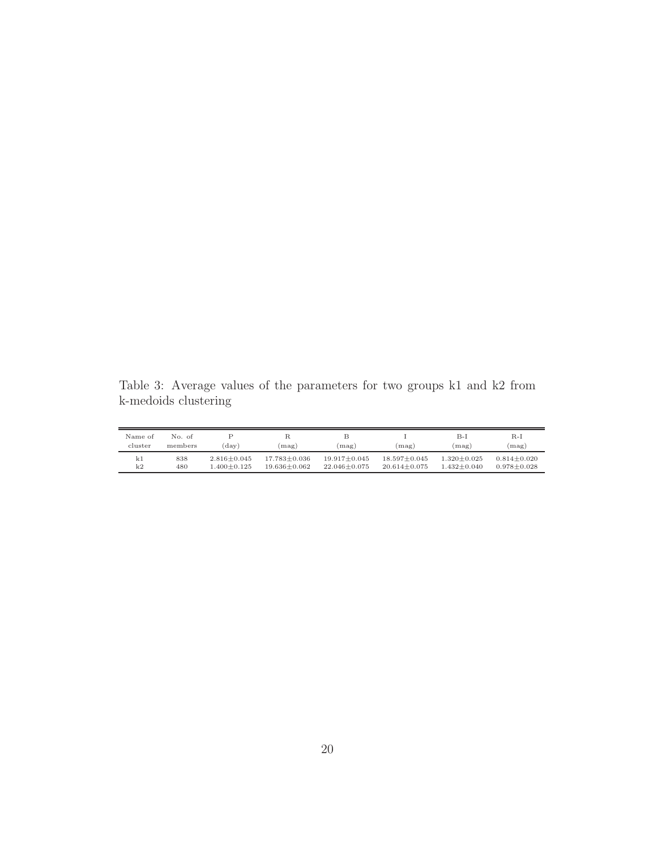<span id="page-19-0"></span>Table 3: Average values of the parameters for two groups k1 and k2 from k-medoids clustering

| Name of<br>cluster | No. of<br>members | $(\text{day})$  | $(\text{mag})$     | $(\text{mag})$     | (mag)              | B-1<br>(mag)      | $R-I$<br>$(\text{mag})$ |
|--------------------|-------------------|-----------------|--------------------|--------------------|--------------------|-------------------|-------------------------|
| k1                 | 838               | $2.816 + 0.045$ | $17.783 \pm 0.036$ | $19.917 + 0.045$   | $18.597 + 0.045$   | $1.320 \pm 0.025$ | $0.814 + 0.020$         |
| k2                 | 480               | $-400+0.125$    | $19.636 \pm 0.062$ | $22.046 \pm 0.075$ | $20.614 \pm 0.075$ | $1.432 + 0.040$   | $0.978 + 0.028$         |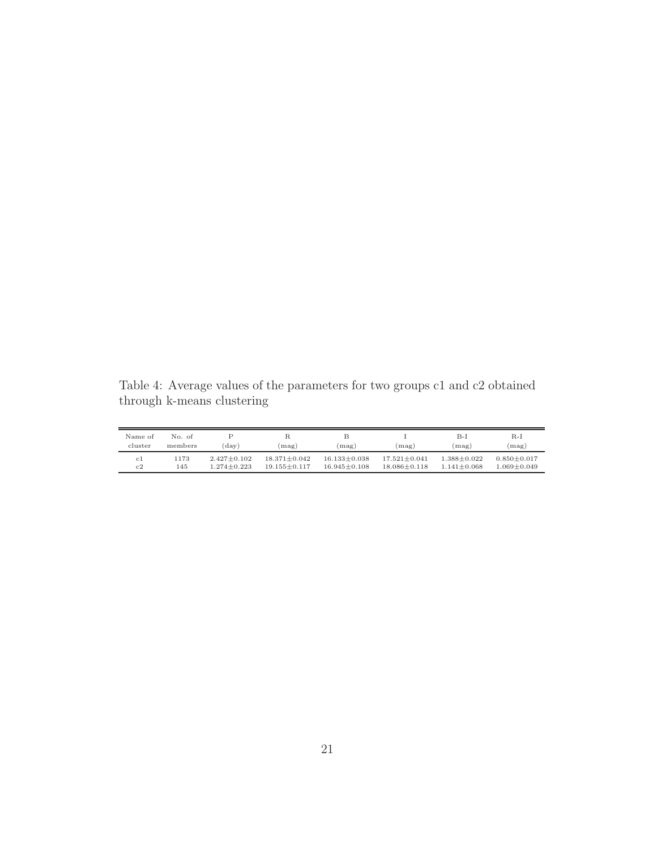<span id="page-20-0"></span>Table 4: Average values of the parameters for two groups c1 and c2 obtained through k-means clustering

| Name of<br>cluster | No. of<br>members | $(\text{day})$    | $(\text{mag})$     | $(\text{mag})$     | (mag)              | B-1<br>(mag)    | $R-I$<br>$(\text{mag})$ |
|--------------------|-------------------|-------------------|--------------------|--------------------|--------------------|-----------------|-------------------------|
| c1                 | 1173              | $2.427 \pm 0.102$ | $18.371 + 0.042$   | $16.133 + 0.038$   | $17.521 + 0.041$   | $1.388 + 0.022$ | $0.850 + 0.017$         |
| c2                 | 145               | $1.274 \pm 0.223$ | $19.155 \pm 0.117$ | $16.945 \pm 0.108$ | $18.086 \pm 0.118$ | $1.141 + 0.068$ | 1.069±0.049             |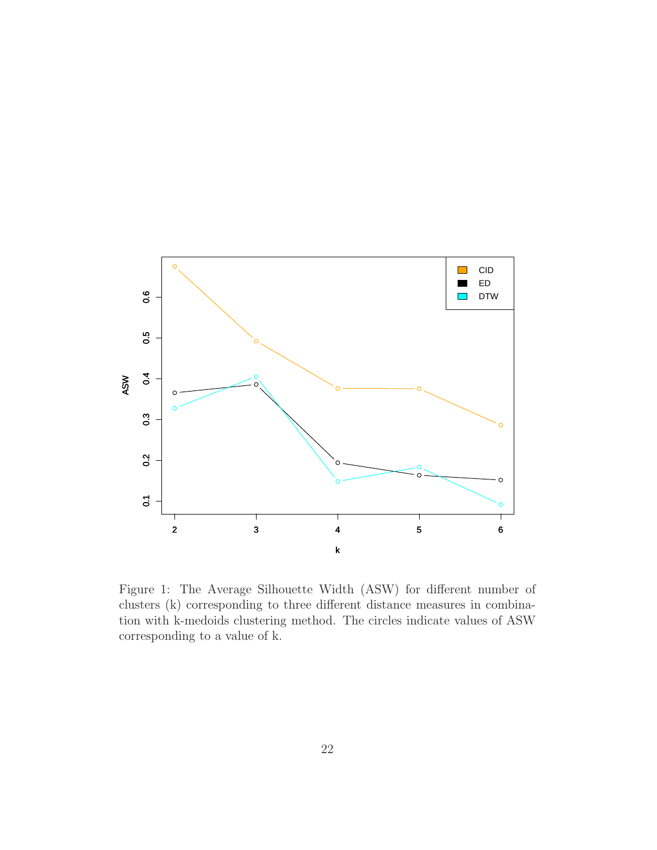

<span id="page-21-0"></span>Figure 1: The Average Silhouette Width (ASW) for different number of clusters (k) corresponding to three different distance measures in combination with k-medoids clustering method. The circles indicate values of ASW corresponding to a value of k.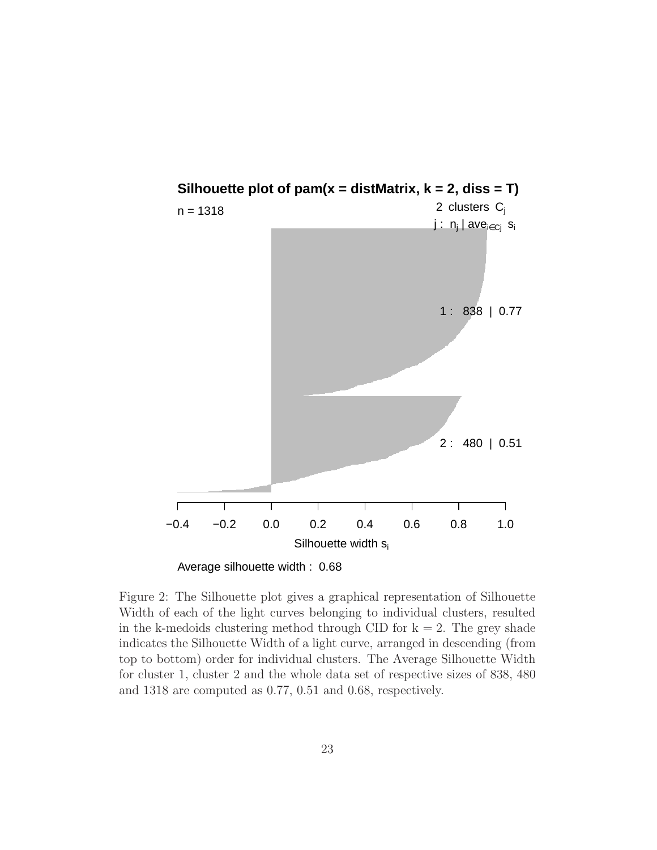

<span id="page-22-0"></span>Average silhouette width : 0.68

Figure 2: The Silhouette plot gives a graphical representation of Silhouette Width of each of the light curves belonging to individual clusters, resulted in the k-medoids clustering method through CID for  $k = 2$ . The grey shade indicates the Silhouette Width of a light curve, arranged in descending (from top to bottom) order for individual clusters. The Average Silhouette Width for cluster 1, cluster 2 and the whole data set of respective sizes of 838, 480 and 1318 are computed as 0.77, 0.51 and 0.68, respectively.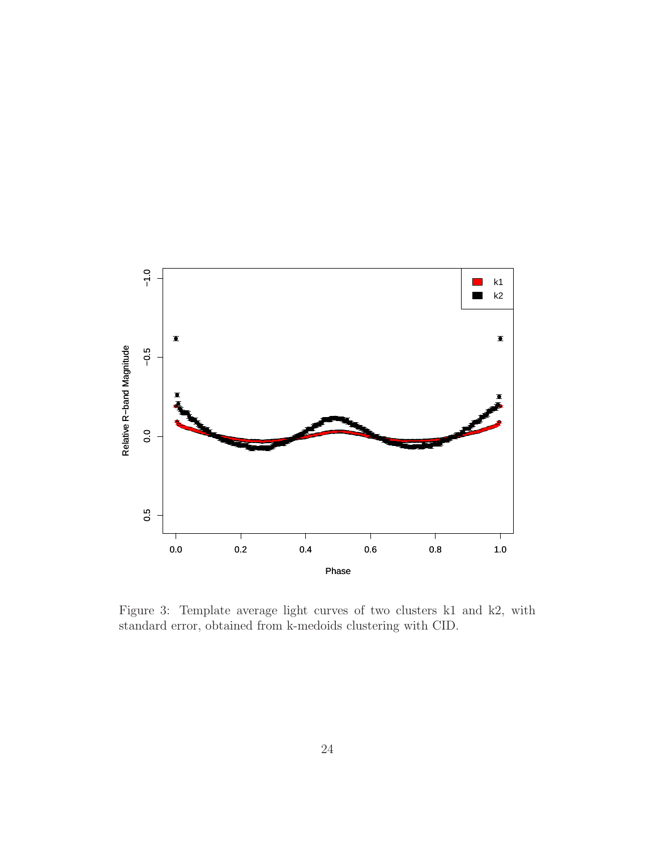

<span id="page-23-0"></span>Figure 3: Template average light curves of two clusters k1 and k2, with standard error, obtained from k-medoids clustering with CID.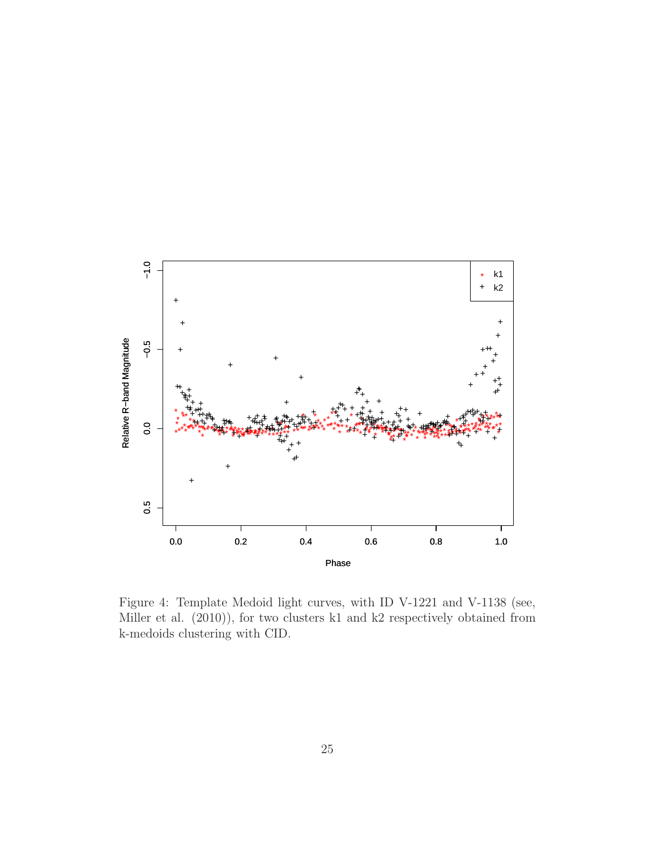

<span id="page-24-0"></span>Figure 4: Template Medoid light curves, with ID V-1221 and V-1138 (see, Miller et al.  $(2010)$ ), for two clusters k1 and k2 respectively obtained from k-medoids clustering with CID.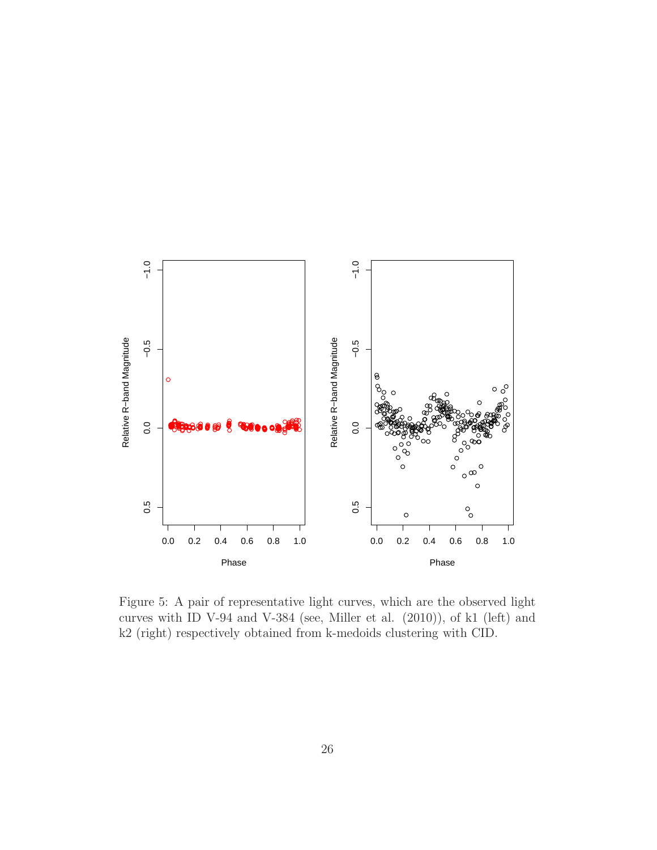

<span id="page-25-0"></span>Figure 5: A pair of representative light curves, which are the observed light curves with ID V-94 and V-384 (see, Miller et al. (2010)), of k1 (left) and k2 (right) respectively obtained from k-medoids clustering with CID.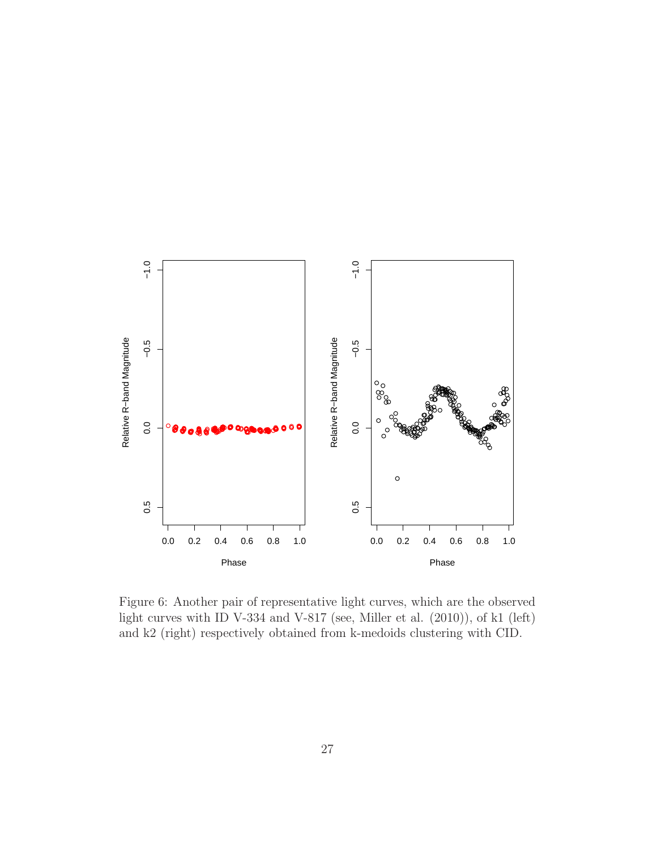

<span id="page-26-0"></span>Figure 6: Another pair of representative light curves, which are the observed light curves with ID V-334 and V-817 (see, Miller et al. (2010)), of k1 (left) and k2 (right) respectively obtained from k-medoids clustering with CID.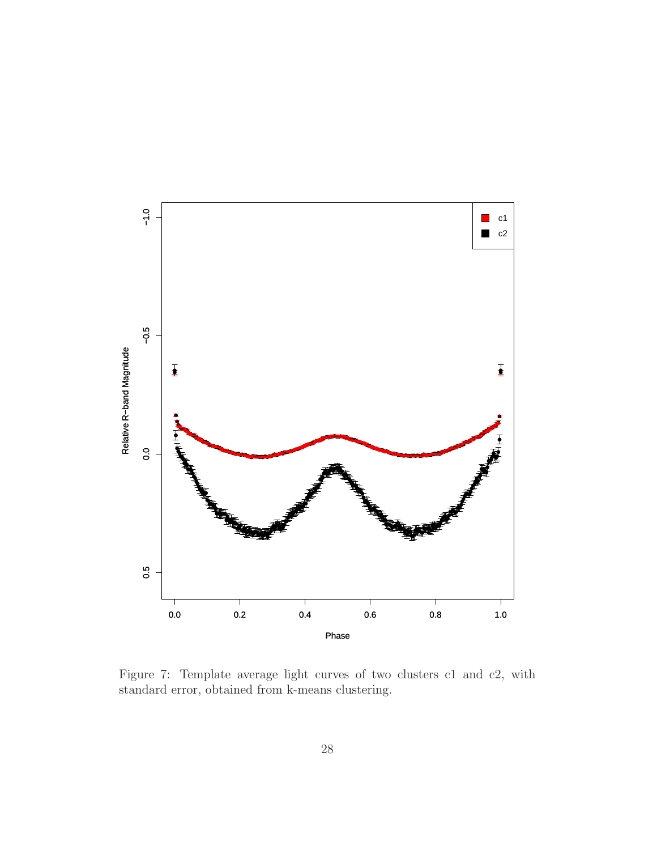

<span id="page-27-0"></span>Figure 7: Template average light curves of two clusters c1 and c2, with standard error, obtained from k-means clustering.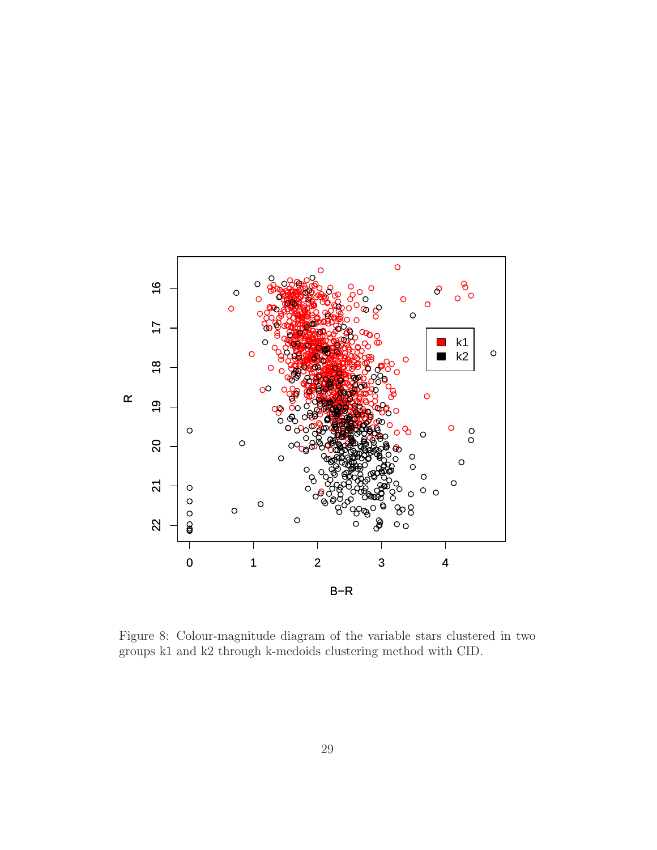

<span id="page-28-0"></span>Figure 8: Colour-magnitude diagram of the variable stars clustered in two groups k1 and k2 through k-medoids clustering method with CID.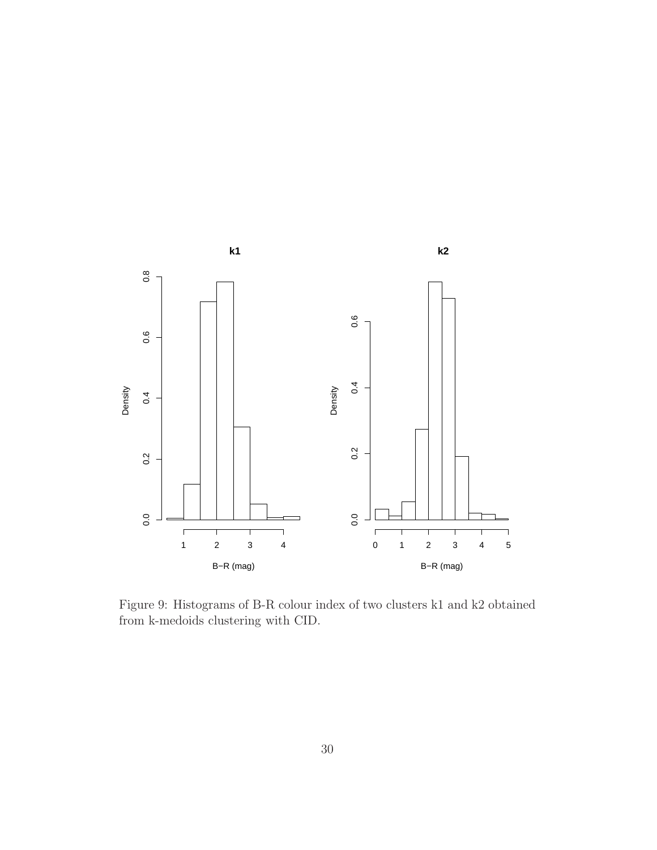

<span id="page-29-0"></span>Figure 9: Histograms of B-R colour index of two clusters k1 and k2 obtained from k-medoids clustering with CID.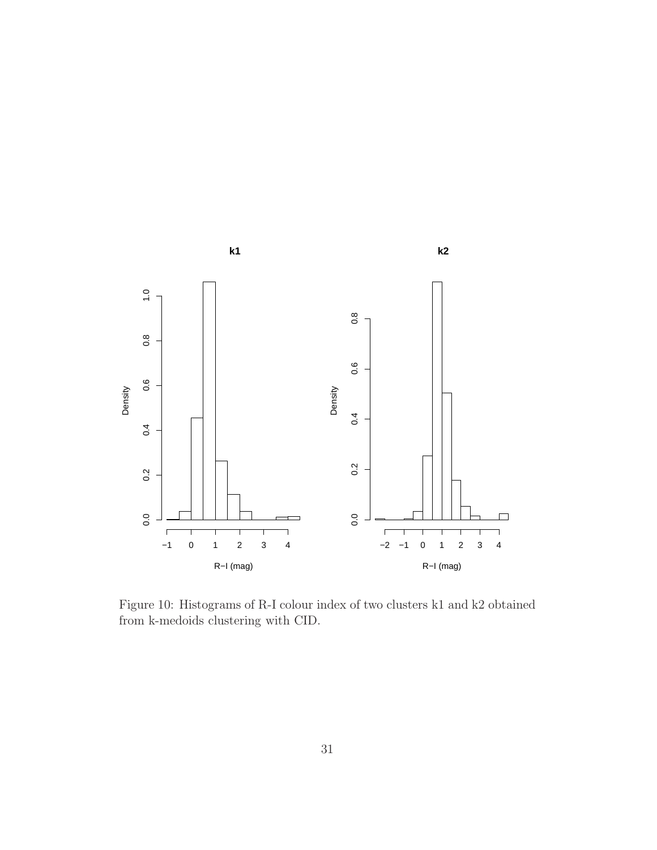

<span id="page-30-0"></span>Figure 10: Histograms of R-I colour index of two clusters k1 and k2 obtained from k-medoids clustering with CID.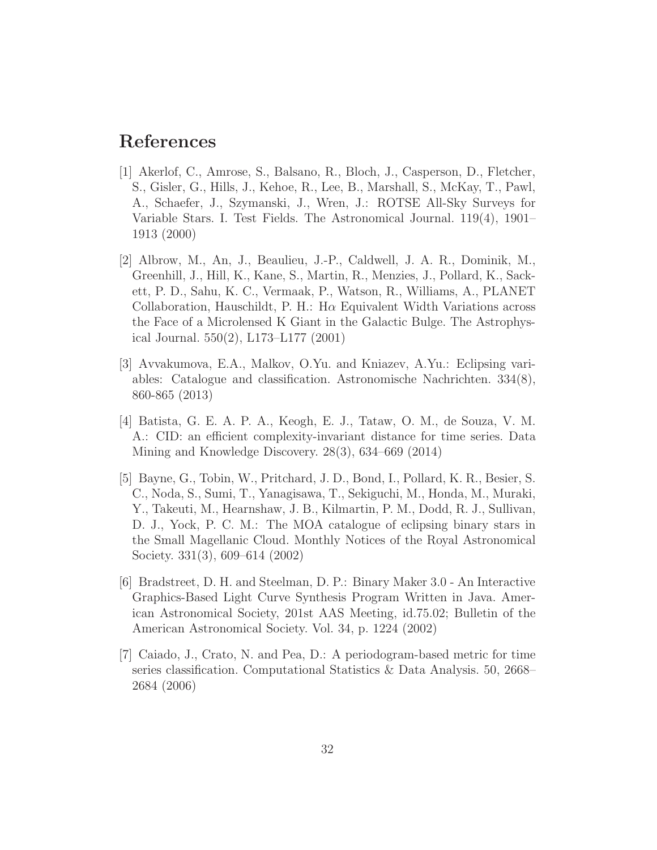### References

- [1] Akerlof, C., Amrose, S., Balsano, R., Bloch, J., Casperson, D., Fletcher, S., Gisler, G., Hills, J., Kehoe, R., Lee, B., Marshall, S., McKay, T., Pawl, A., Schaefer, J., Szymanski, J., Wren, J.: ROTSE All-Sky Surveys for Variable Stars. I. Test Fields. The Astronomical Journal. 119(4), 1901– 1913 (2000)
- [2] Albrow, M., An, J., Beaulieu, J.-P., Caldwell, J. A. R., Dominik, M., Greenhill, J., Hill, K., Kane, S., Martin, R., Menzies, J., Pollard, K., Sackett, P. D., Sahu, K. C., Vermaak, P., Watson, R., Williams, A., PLANET Collaboration, Hauschildt, P. H.: H $\alpha$  Equivalent Width Variations across the Face of a Microlensed K Giant in the Galactic Bulge. The Astrophysical Journal. 550(2), L173–L177 (2001)
- [3] Avvakumova, E.A., Malkov, O.Yu. and Kniazev, A.Yu.: Eclipsing variables: Catalogue and classification. Astronomische Nachrichten. 334(8), 860-865 (2013)
- [4] Batista, G. E. A. P. A., Keogh, E. J., Tataw, O. M., de Souza, V. M. A.: CID: an efficient complexity-invariant distance for time series. Data Mining and Knowledge Discovery. 28(3), 634–669 (2014)
- [5] Bayne, G., Tobin, W., Pritchard, J. D., Bond, I., Pollard, K. R., Besier, S. C., Noda, S., Sumi, T., Yanagisawa, T., Sekiguchi, M., Honda, M., Muraki, Y., Takeuti, M., Hearnshaw, J. B., Kilmartin, P. M., Dodd, R. J., Sullivan, D. J., Yock, P. C. M.: The MOA catalogue of eclipsing binary stars in the Small Magellanic Cloud. Monthly Notices of the Royal Astronomical Society. 331(3), 609–614 (2002)
- [6] Bradstreet, D. H. and Steelman, D. P.: Binary Maker 3.0 An Interactive Graphics-Based Light Curve Synthesis Program Written in Java. American Astronomical Society, 201st AAS Meeting, id.75.02; Bulletin of the American Astronomical Society. Vol. 34, p. 1224 (2002)
- [7] Caiado, J., Crato, N. and Pea, D.: A periodogram-based metric for time series classification. Computational Statistics & Data Analysis. 50, 2668– 2684 (2006)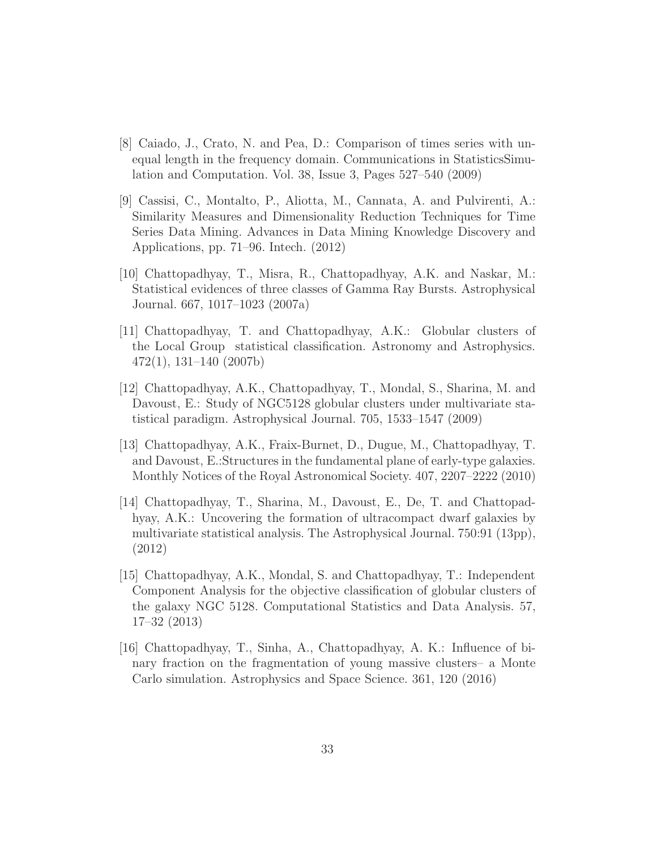- [8] Caiado, J., Crato, N. and Pea, D.: Comparison of times series with unequal length in the frequency domain. Communications in StatisticsSimulation and Computation. Vol. 38, Issue 3, Pages 527–540 (2009)
- [9] Cassisi, C., Montalto, P., Aliotta, M., Cannata, A. and Pulvirenti, A.: Similarity Measures and Dimensionality Reduction Techniques for Time Series Data Mining. Advances in Data Mining Knowledge Discovery and Applications, pp. 71–96. Intech. (2012)
- [10] Chattopadhyay, T., Misra, R., Chattopadhyay, A.K. and Naskar, M.: Statistical evidences of three classes of Gamma Ray Bursts. Astrophysical Journal. 667, 1017–1023 (2007a)
- [11] Chattopadhyay, T. and Chattopadhyay, A.K.: Globular clusters of the Local Group statistical classification. Astronomy and Astrophysics. 472(1), 131–140 (2007b)
- [12] Chattopadhyay, A.K., Chattopadhyay, T., Mondal, S., Sharina, M. and Davoust, E.: Study of NGC5128 globular clusters under multivariate statistical paradigm. Astrophysical Journal. 705, 1533–1547 (2009)
- [13] Chattopadhyay, A.K., Fraix-Burnet, D., Dugue, M., Chattopadhyay, T. and Davoust, E.:Structures in the fundamental plane of early-type galaxies. Monthly Notices of the Royal Astronomical Society. 407, 2207–2222 (2010)
- [14] Chattopadhyay, T., Sharina, M., Davoust, E., De, T. and Chattopadhyay, A.K.: Uncovering the formation of ultracompact dwarf galaxies by multivariate statistical analysis. The Astrophysical Journal. 750:91 (13pp), (2012)
- [15] Chattopadhyay, A.K., Mondal, S. and Chattopadhyay, T.: Independent Component Analysis for the objective classification of globular clusters of the galaxy NGC 5128. Computational Statistics and Data Analysis. 57, 17–32 (2013)
- [16] Chattopadhyay, T., Sinha, A., Chattopadhyay, A. K.: Influence of binary fraction on the fragmentation of young massive clusters– a Monte Carlo simulation. Astrophysics and Space Science. 361, 120 (2016)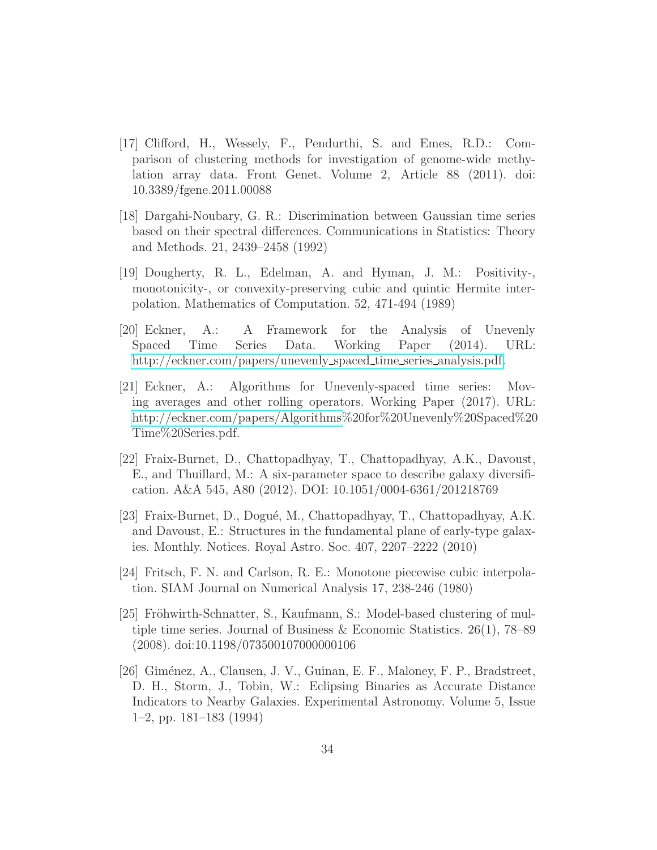- [17] Clifford, H., Wessely, F., Pendurthi, S. and Emes, R.D.: Comparison of clustering methods for investigation of genome-wide methylation array data. Front Genet. Volume 2, Article 88 (2011). doi: 10.3389/fgene.2011.00088
- [18] Dargahi-Noubary, G. R.: Discrimination between Gaussian time series based on their spectral differences. Communications in Statistics: Theory and Methods. 21, 2439–2458 (1992)
- [19] Dougherty, R. L., Edelman, A. and Hyman, J. M.: Positivity-, monotonicity-, or convexity-preserving cubic and quintic Hermite interpolation. Mathematics of Computation. 52, 471-494 (1989)
- [20] Eckner, A.: A Framework for the Analysis of Unevenly Spaced Time Series Data. Working Paper (2014). URL: [http://eckner.com/papers/unevenly](http://eckner.com/papers/unevenly_spaced_time_series_analysis.pdf)\_spaced\_time\_series\_analysis.pdf.
- [21] Eckner, A.: Algorithms for Unevenly-spaced time series: Moving averages and other rolling operators. Working Paper (2017). URL: [http://eckner.com/papers/Algorithms%](http://eckner.com/papers/Algorithms)20for%20Unevenly%20Spaced%20 Time%20Series.pdf.
- [22] Fraix-Burnet, D., Chattopadhyay, T., Chattopadhyay, A.K., Davoust, E., and Thuillard, M.: A six-parameter space to describe galaxy diversification. A&A 545, A80 (2012). DOI: 10.1051/0004-6361/201218769
- [23] Fraix-Burnet, D., Dogué, M., Chattopadhyay, T., Chattopadhyay, A.K. and Davoust, E.: Structures in the fundamental plane of early-type galaxies. Monthly. Notices. Royal Astro. Soc. 407, 2207–2222 (2010)
- [24] Fritsch, F. N. and Carlson, R. E.: Monotone piecewise cubic interpolation. SIAM Journal on Numerical Analysis 17, 238-246 (1980)
- [25] Fröhwirth-Schnatter, S., Kaufmann, S.: Model-based clustering of multiple time series. Journal of Business & Economic Statistics.  $26(1)$ , 78–89 (2008). doi:10.1198/073500107000000106
- [26] Giménez, A., Clausen, J. V., Guinan, E. F., Maloney, F. P., Bradstreet, D. H., Storm, J., Tobin, W.: Eclipsing Binaries as Accurate Distance Indicators to Nearby Galaxies. Experimental Astronomy. Volume 5, Issue 1–2, pp. 181–183 (1994)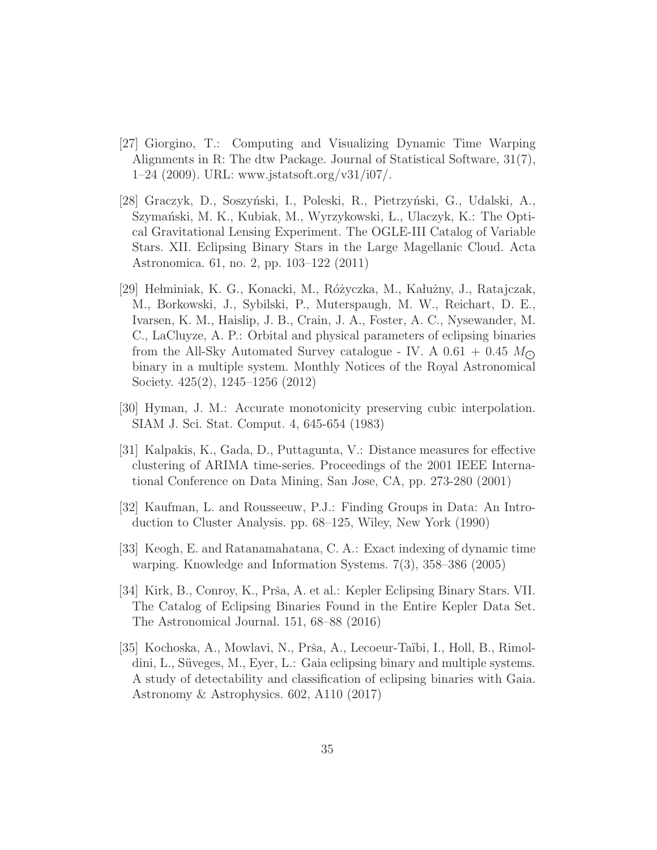- [27] Giorgino, T.: Computing and Visualizing Dynamic Time Warping Alignments in R: The dtw Package. Journal of Statistical Software, 31(7),  $1-24$  (2009). URL: www.jstatsoft.org/v31/i07/.
- [28] Graczyk, D., Soszyński, I., Poleski, R., Pietrzyński, G., Udalski, A., Szymański, M. K., Kubiak, M., Wyrzykowski, L., Ulaczyk, K.: The Optical Gravitational Lensing Experiment. The OGLE-III Catalog of Variable Stars. XII. Eclipsing Binary Stars in the Large Magellanic Cloud. Acta Astronomica. 61, no. 2, pp. 103–122 (2011)
- [29] Hełminiak, K. G., Konacki, M., Różyczka, M., Kałużny, J., Ratajczak, M., Borkowski, J., Sybilski, P., Muterspaugh, M. W., Reichart, D. E., Ivarsen, K. M., Haislip, J. B., Crain, J. A., Foster, A. C., Nysewander, M. C., LaCluyze, A. P.: Orbital and physical parameters of eclipsing binaries from the All-Sky Automated Survey catalogue - IV. A  $0.61 + 0.45$   $M_{\odot}$ binary in a multiple system. Monthly Notices of the Royal Astronomical Society. 425(2), 1245–1256 (2012)
- [30] Hyman, J. M.: Accurate monotonicity preserving cubic interpolation. SIAM J. Sci. Stat. Comput. 4, 645-654 (1983)
- [31] Kalpakis, K., Gada, D., Puttagunta, V.: Distance measures for effective clustering of ARIMA time-series. Proceedings of the 2001 IEEE International Conference on Data Mining, San Jose, CA, pp. 273-280 (2001)
- [32] Kaufman, L. and Rousseeuw, P.J.: Finding Groups in Data: An Introduction to Cluster Analysis. pp. 68–125, Wiley, New York (1990)
- [33] Keogh, E. and Ratanamahatana, C. A.: Exact indexing of dynamic time warping. Knowledge and Information Systems. 7(3), 358–386 (2005)
- [34] Kirk, B., Conroy, K., Prša, A. et al.: Kepler Eclipsing Binary Stars. VII. The Catalog of Eclipsing Binaries Found in the Entire Kepler Data Set. The Astronomical Journal. 151, 68–88 (2016)
- [35] Kochoska, A., Mowlavi, N., Prša, A., Lecoeur-Taïbi, I., Holl, B., Rimoldini, L., Süveges, M., Eyer, L.: Gaia eclipsing binary and multiple systems. A study of detectability and classification of eclipsing binaries with Gaia. Astronomy & Astrophysics. 602, A110 (2017)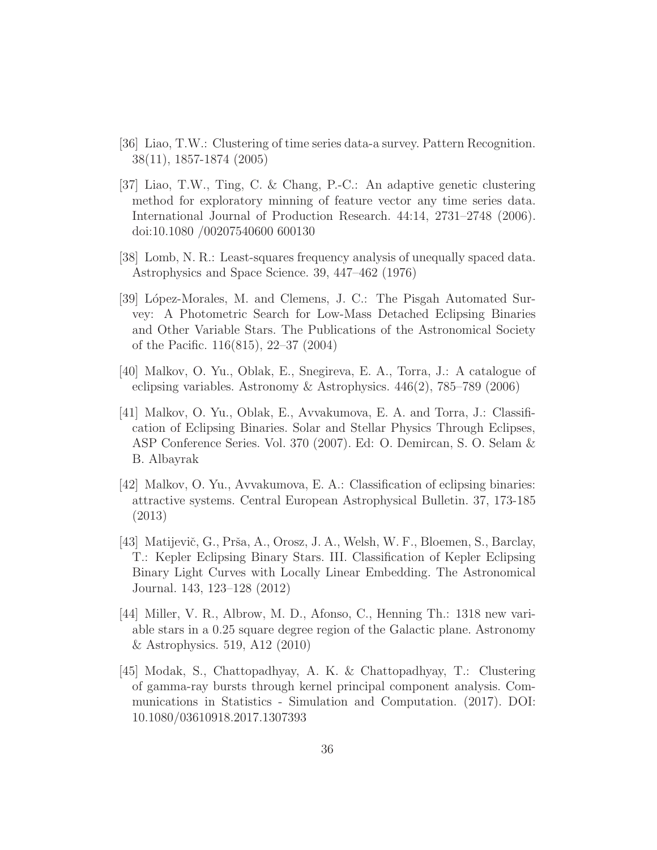- [36] Liao, T.W.: Clustering of time series data-a survey. Pattern Recognition. 38(11), 1857-1874 (2005)
- [37] Liao, T.W., Ting, C. & Chang, P.-C.: An adaptive genetic clustering method for exploratory minning of feature vector any time series data. International Journal of Production Research. 44:14, 2731–2748 (2006). doi:10.1080 /00207540600 600130
- [38] Lomb, N. R.: Least-squares frequency analysis of unequally spaced data. Astrophysics and Space Science. 39, 447–462 (1976)
- [39] López-Morales, M. and Clemens, J. C.: The Pisgah Automated Survey: A Photometric Search for Low-Mass Detached Eclipsing Binaries and Other Variable Stars. The Publications of the Astronomical Society of the Pacific. 116(815), 22–37 (2004)
- [40] Malkov, O. Yu., Oblak, E., Snegireva, E. A., Torra, J.: A catalogue of eclipsing variables. Astronomy & Astrophysics. 446(2), 785–789 (2006)
- [41] Malkov, O. Yu., Oblak, E., Avvakumova, E. A. and Torra, J.: Classification of Eclipsing Binaries. Solar and Stellar Physics Through Eclipses, ASP Conference Series. Vol. 370 (2007). Ed: O. Demircan, S. O. Selam & B. Albayrak
- [42] Malkov, O. Yu., Avvakumova, E. A.: Classification of eclipsing binaries: attractive systems. Central European Astrophysical Bulletin. 37, 173-185 (2013)
- [43] Matijevič, G., Prša, A., Orosz, J. A., Welsh, W. F., Bloemen, S., Barclay, T.: Kepler Eclipsing Binary Stars. III. Classification of Kepler Eclipsing Binary Light Curves with Locally Linear Embedding. The Astronomical Journal. 143, 123–128 (2012)
- [44] Miller, V. R., Albrow, M. D., Afonso, C., Henning Th.: 1318 new variable stars in a 0.25 square degree region of the Galactic plane. Astronomy & Astrophysics. 519, A12 (2010)
- [45] Modak, S., Chattopadhyay, A. K. & Chattopadhyay, T.: Clustering of gamma-ray bursts through kernel principal component analysis. Communications in Statistics - Simulation and Computation. (2017). DOI: 10.1080/03610918.2017.1307393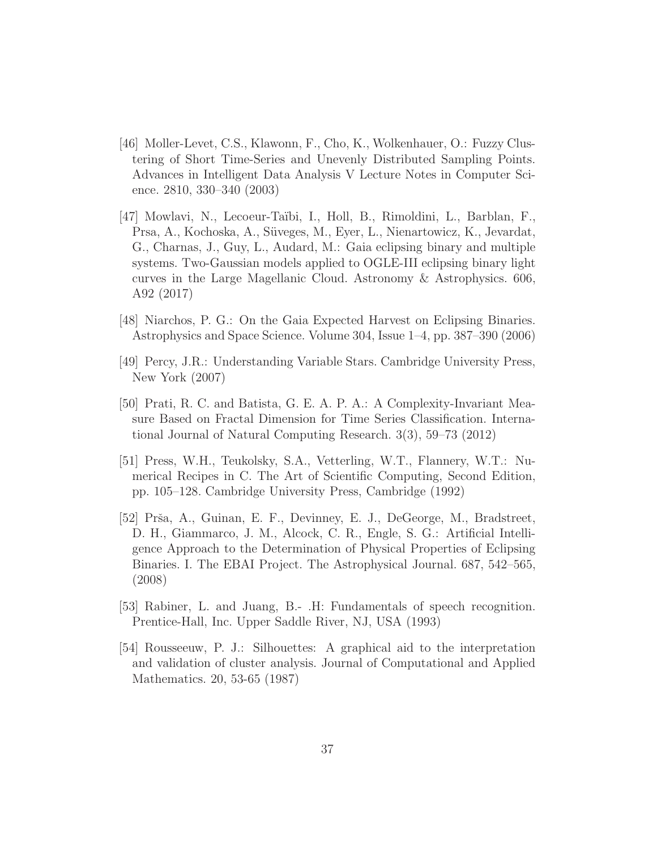- [46] Moller-Levet, C.S., Klawonn, F., Cho, K., Wolkenhauer, O.: Fuzzy Clustering of Short Time-Series and Unevenly Distributed Sampling Points. Advances in Intelligent Data Analysis V Lecture Notes in Computer Science. 2810, 330–340 (2003)
- [47] Mowlavi, N., Lecoeur-Taïbi, I., Holl, B., Rimoldini, L., Barblan, F., Prsa, A., Kochoska, A., Süveges, M., Eyer, L., Nienartowicz, K., Jevardat, G., Charnas, J., Guy, L., Audard, M.: Gaia eclipsing binary and multiple systems. Two-Gaussian models applied to OGLE-III eclipsing binary light curves in the Large Magellanic Cloud. Astronomy & Astrophysics. 606, A92 (2017)
- [48] Niarchos, P. G.: On the Gaia Expected Harvest on Eclipsing Binaries. Astrophysics and Space Science. Volume 304, Issue 1–4, pp. 387–390 (2006)
- [49] Percy, J.R.: Understanding Variable Stars. Cambridge University Press, New York (2007)
- [50] Prati, R. C. and Batista, G. E. A. P. A.: A Complexity-Invariant Measure Based on Fractal Dimension for Time Series Classification. International Journal of Natural Computing Research. 3(3), 59–73 (2012)
- [51] Press, W.H., Teukolsky, S.A., Vetterling, W.T., Flannery, W.T.: Numerical Recipes in C. The Art of Scientific Computing, Second Edition, pp. 105–128. Cambridge University Press, Cambridge (1992)
- [52] Prša, A., Guinan, E. F., Devinney, E. J., DeGeorge, M., Bradstreet, D. H., Giammarco, J. M., Alcock, C. R., Engle, S. G.: Artificial Intelligence Approach to the Determination of Physical Properties of Eclipsing Binaries. I. The EBAI Project. The Astrophysical Journal. 687, 542–565, (2008)
- [53] Rabiner, L. and Juang, B.- .H: Fundamentals of speech recognition. Prentice-Hall, Inc. Upper Saddle River, NJ, USA (1993)
- [54] Rousseeuw, P. J.: Silhouettes: A graphical aid to the interpretation and validation of cluster analysis. Journal of Computational and Applied Mathematics. 20, 53-65 (1987)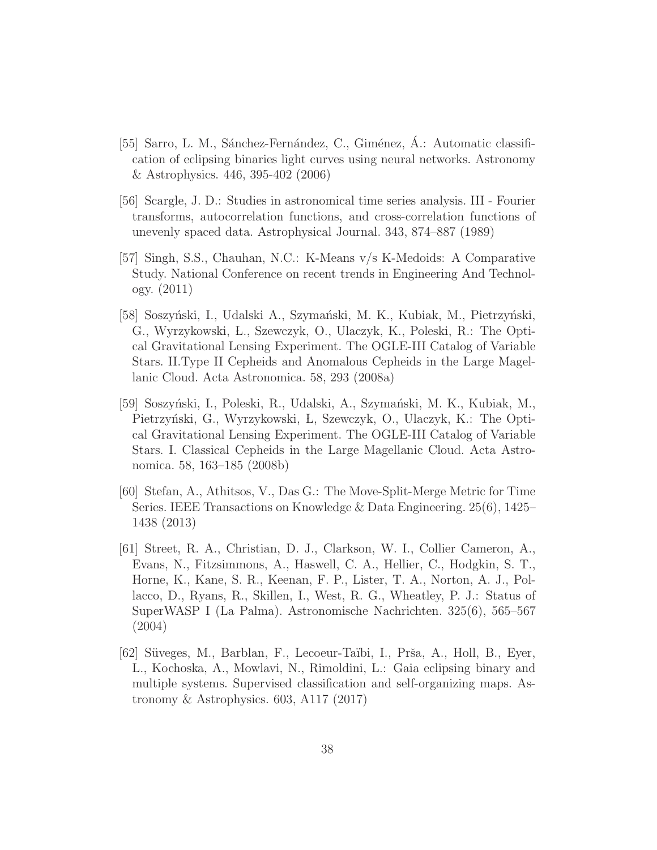- [55] Sarro, L. M., Sánchez-Fernández, C., Giménez, Á.: Automatic classification of eclipsing binaries light curves using neural networks. Astronomy & Astrophysics. 446, 395-402 (2006)
- [56] Scargle, J. D.: Studies in astronomical time series analysis. III Fourier transforms, autocorrelation functions, and cross-correlation functions of unevenly spaced data. Astrophysical Journal. 343, 874–887 (1989)
- [57] Singh, S.S., Chauhan, N.C.: K-Means v/s K-Medoids: A Comparative Study. National Conference on recent trends in Engineering And Technology. (2011)
- [58] Soszyński, I., Udalski A., Szymański, M. K., Kubiak, M., Pietrzyński, G., Wyrzykowski, L., Szewczyk, O., Ulaczyk, K., Poleski, R.: The Optical Gravitational Lensing Experiment. The OGLE-III Catalog of Variable Stars. II.Type II Cepheids and Anomalous Cepheids in the Large Magellanic Cloud. Acta Astronomica. 58, 293 (2008a)
- [59] Soszyński, I., Poleski, R., Udalski, A., Szymański, M. K., Kubiak, M., Pietrzyński, G., Wyrzykowski, Ł, Szewczyk, O., Ulaczyk, K.: The Optical Gravitational Lensing Experiment. The OGLE-III Catalog of Variable Stars. I. Classical Cepheids in the Large Magellanic Cloud. Acta Astronomica. 58, 163–185 (2008b)
- [60] Stefan, A., Athitsos, V., Das G.: The Move-Split-Merge Metric for Time Series. IEEE Transactions on Knowledge & Data Engineering. 25(6), 1425– 1438 (2013)
- [61] Street, R. A., Christian, D. J., Clarkson, W. I., Collier Cameron, A., Evans, N., Fitzsimmons, A., Haswell, C. A., Hellier, C., Hodgkin, S. T., Horne, K., Kane, S. R., Keenan, F. P., Lister, T. A., Norton, A. J., Pollacco, D., Ryans, R., Skillen, I., West, R. G., Wheatley, P. J.: Status of SuperWASP I (La Palma). Astronomische Nachrichten. 325(6), 565–567 (2004)
- [62] Süveges, M., Barblan, F., Lecoeur-Taïbi, I., Prša, A., Holl, B., Eyer, L., Kochoska, A., Mowlavi, N., Rimoldini, L.: Gaia eclipsing binary and multiple systems. Supervised classification and self-organizing maps. Astronomy & Astrophysics. 603, A117 (2017)